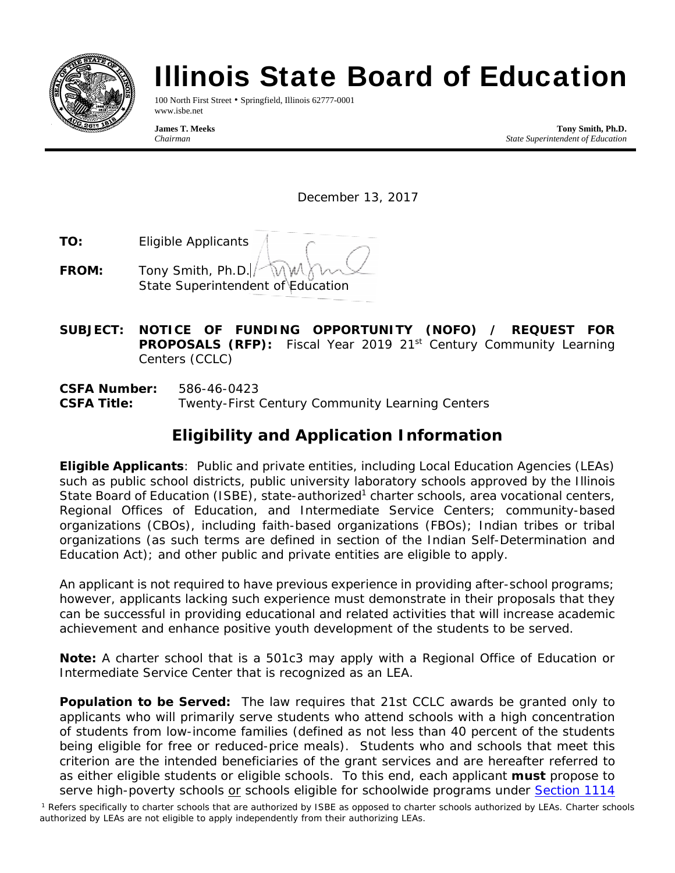

# Illinois State Board of Education

100 North First Street • Springfield, Illinois 62777-0001 www.isbe.net

**James T. Meeks Tony Smith, Ph.D.**  *Chairman State Superintendent of Education* 

December 13, 2017

- **TO:** Eligible Applicants
- **FROM:** Tony Smith, Ph.D. State Superintendent of Education
- **SUBJECT: NOTICE OF FUNDING OPPORTUNITY (NOFO) / REQUEST FOR PROPOSALS (RFP):** Fiscal Year 2019 21<sup>st</sup> Century Community Learning Centers (CCLC)
- **CSFA Number:** 586-46-0423 **CSFA Title:** Twenty-First Century Community Learning Centers

# **Eligibility and Application Information**

**Eligible Applicants**: Public and private entities, including Local Education Agencies (LEAs) such as public school districts, public university laboratory schools approved by the Illinois State Board of Education (ISBE), state-authorized<sup>1</sup> charter schools, area vocational centers, Regional Offices of Education, and Intermediate Service Centers; community-based organizations (CBOs), including faith-based organizations (FBOs); Indian tribes or tribal organizations (as such terms are defined in section of the Indian Self-Determination and Education Act); and other public and private entities are eligible to apply.

An applicant is not required to have previous experience in providing after-school programs; however, applicants lacking such experience must demonstrate in their proposals that they can be successful in providing educational and related activities that will increase academic achievement and enhance positive youth development of the students to be served.

**Note:** A charter school that is a 501c3 may apply with a Regional Office of Education or Intermediate Service Center that is recognized as an LEA.

**Population to be Served:** The law requires that 21st CCLC awards be granted only to applicants who will primarily serve students who attend schools with a high concentration of students from low-income families (defined as not less than 40 percent of the students being eligible for free or reduced-price meals). Students who and schools that meet this criterion are the intended beneficiaries of the grant services and are hereafter referred to as either *eligible students* or *eligible schools*. To this end, each applicant **must** propose to serve high-poverty schools or schools eligible for *schoolwide* programs under Section 1114

<sup>1</sup> Refers specifically to charter schools that are authorized by ISBE as opposed to charter schools authorized by LEAs. Charter schools authorized by LEAs are not eligible to apply independently from their authorizing LEAs.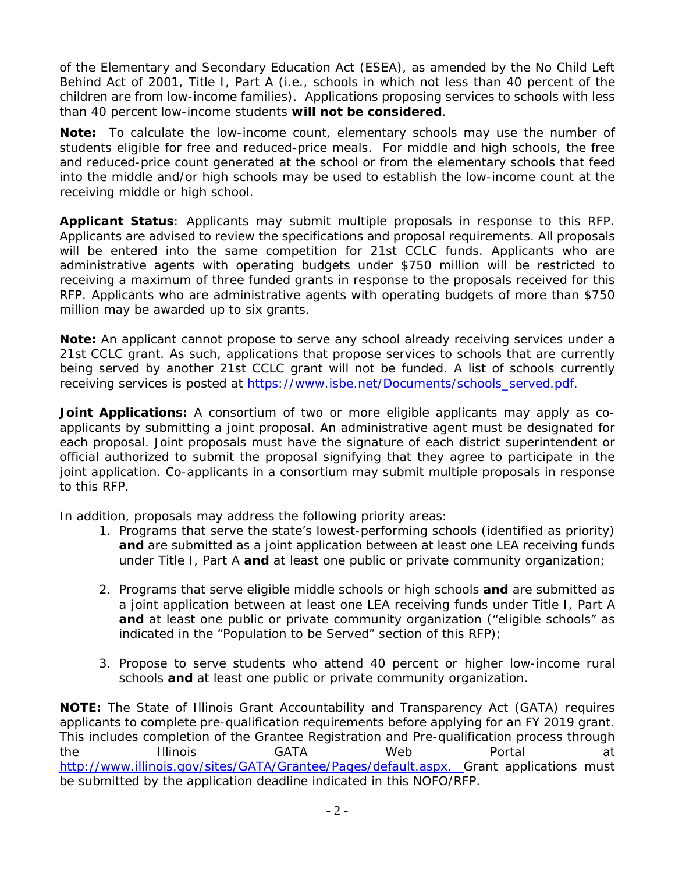of the *Elementary and Secondary Education Act (ESEA)*, as amended by the *No Child Left Behind Act of 2001*, Title I, Part A (i.e., schools in which not less than 40 percent of the children are from low-income families). Applications proposing services to schools with less than 40 percent low-income students **will not be considered**.

*Note:* To calculate the low-income count, elementary schools may use the number of students eligible for free and reduced-price meals. For middle and high schools, the free and reduced-price count generated at the school or from the elementary schools that feed into the middle and/or high schools may be used to establish the low-income count at the receiving middle or high school.

**Applicant Status**: Applicants may submit multiple proposals in response to this RFP. Applicants are advised to review the specifications and proposal requirements. All proposals will be entered into the same competition for 21st CCLC funds. Applicants who are administrative agents with operating budgets under \$750 million will be restricted to receiving a maximum of three funded grants in response to the proposals received for this RFP. Applicants who are administrative agents with operating budgets of more than \$750 million may be awarded up to six grants.

*Note:* An applicant cannot propose to serve any school already receiving services under a 21st CCLC grant. As such, applications that propose services to schools that are currently being served by another 21st CCLC grant will not be funded. A list of schools currently receiving services is posted at https://www.isbe.net/Documents/schools\_served.pdf.

Joint Applications: A consortium of two or more eligible applicants may apply as coapplicants by submitting a joint proposal. An administrative agent must be designated for each proposal. Joint proposals must have the signature of each district superintendent or official authorized to submit the proposal signifying that they agree to participate in the joint application. Co-applicants in a consortium may submit multiple proposals in response to this RFP.

In addition, proposals may address the following priority areas:

- 1. Programs that serve the state's lowest-performing schools (identified as priority) **and** are submitted as a joint application between at least one LEA receiving funds under Title I, Part A **and** at least one public or private community organization;
- 2. Programs that serve eligible middle schools or high schools **and** are submitted as a joint application between at least one LEA receiving funds under Title I, Part A **and** at least one public or private community organization ("eligible schools" as indicated in the "Population to be Served" section of this RFP);
- 3. Propose to serve students who attend 40 percent or higher low-income rural schools **and** at least one public or private community organization.

**NOTE:** The State of Illinois Grant Accountability and Transparency Act (GATA) requires applicants to complete pre-qualification requirements before applying for an FY 2019 grant. This includes completion of the Grantee Registration and Pre-qualification process through the Illinois GATA Web Portal at http://www.illinois.gov/sites/GATA/Grantee/Pages/default.aspx. Grant applications must be submitted by the application deadline indicated in this NOFO/RFP.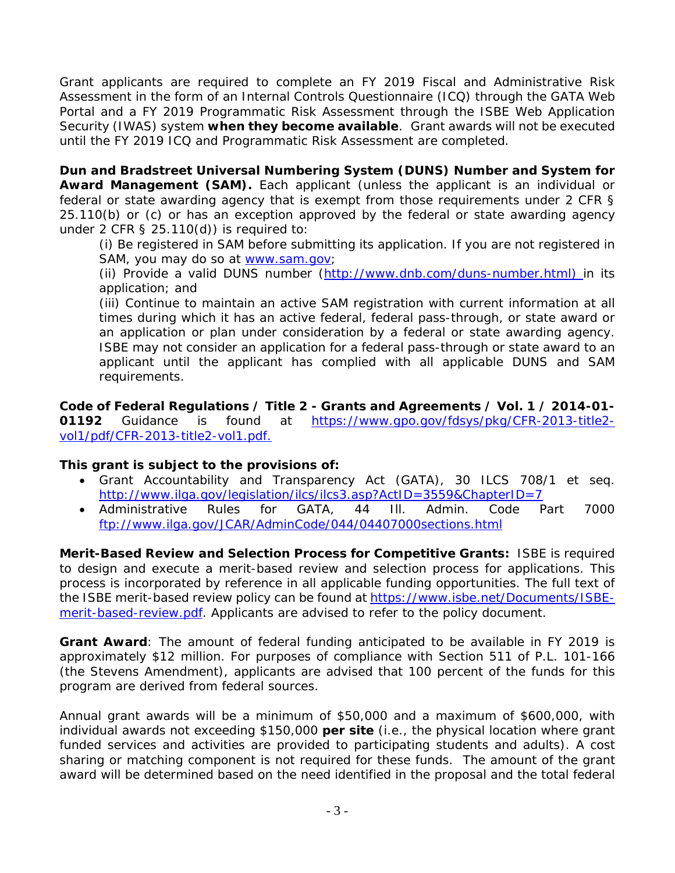Grant applicants are required to complete an FY 2019 Fiscal and Administrative Risk Assessment in the form of an Internal Controls Questionnaire (ICQ) through the GATA Web Portal and a FY 2019 Programmatic Risk Assessment through the ISBE Web Application Security (IWAS) system **when they become available**. Grant awards will not be executed until the FY 2019 ICQ and Programmatic Risk Assessment are completed.

**Dun and Bradstreet Universal Numbering System (DUNS) Number and System for Award Management (SAM).** Each applicant (unless the applicant is an individual or federal or state awarding agency that is exempt from those requirements under 2 CFR § 25.110(b) or (c) or has an exception approved by the federal or state awarding agency under 2 CFR  $\S$  25.110(d)) is required to:

(i) Be registered in SAM before submitting its application. If you are not registered in SAM, you may do so at www.sam.gov;

(ii) Provide a valid DUNS number (http://www.dnb.com/duns-number.html) in its application; and

(iii) Continue to maintain an active SAM registration with current information at all times during which it has an active federal, federal pass-through, or state award or an application or plan under consideration by a federal or state awarding agency. ISBE may not consider an application for a federal pass-through or state award to an applicant until the applicant has complied with all applicable DUNS and SAM requirements.

**Code of Federal Regulations / Title 2 - Grants and Agreements / Vol. 1 / 2014-01- 01192** Guidance is found at https://www.gpo.gov/fdsys/pkg/CFR-2013-title2 vol1/pdf/CFR-2013-title2-vol1.pdf.

#### **This grant is subject to the provisions of:**

- Grant Accountability and Transparency Act (GATA), 30 ILCS 708/1 et seq. http://www.ilga.gov/legislation/ilcs/ilcs3.asp?ActID=3559&ChapterID=7
- Administrative Rules for GATA, 44 Ill. Admin. Code Part 7000 ftp://www.ilga.gov/JCAR/AdminCode/044/04407000sections.html

**Merit-Based Review and Selection Process for Competitive Grants:** ISBE is required to design and execute a merit-based review and selection process for applications. This process is incorporated by reference in all applicable funding opportunities. The full text of the ISBE merit-based review policy can be found at https://www.isbe.net/Documents/ISBEmerit-based-review.pdf. Applicants are advised to refer to the policy document.

**Grant Award**: The amount of federal funding anticipated to be available in FY 2019 is approximately \$12 million. For purposes of compliance with Section 511 of P.L. 101-166 (the *Stevens Amendment*), applicants are advised that 100 percent of the funds for this program are derived from federal sources.

Annual grant awards will be a minimum of \$50,000 and a maximum of \$600,000, with individual awards not exceeding \$150,000 **per site** (i.e., the physical location where grant funded services and activities are provided to participating students and adults). A cost sharing or matching component is not required for these funds. The amount of the grant award will be determined based on the need identified in the proposal and the total federal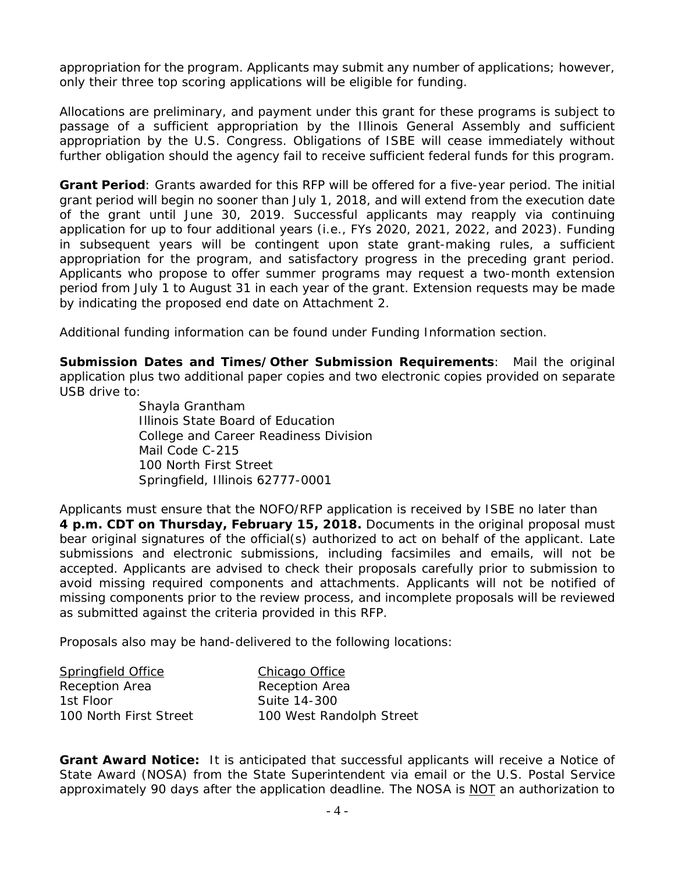appropriation for the program. Applicants may submit any number of applications; however, only their three top scoring applications will be eligible for funding.

Allocations are preliminary, and payment under this grant for these programs is subject to passage of a sufficient appropriation by the Illinois General Assembly and sufficient appropriation by the U.S. Congress. Obligations of ISBE will cease immediately without further obligation should the agency fail to receive sufficient federal funds for this program.

**Grant Period**: Grants awarded for this RFP will be offered for a five-year period. The initial grant period will begin no sooner than July 1, 2018, and will extend from the execution date of the grant until June 30, 2019. Successful applicants may reapply via continuing application for up to four additional years (i.e., FYs 2020, 2021, 2022, and 2023). Funding in subsequent years will be contingent upon state grant-making rules, a sufficient appropriation for the program, and satisfactory progress in the preceding grant period. Applicants who propose to offer summer programs may request a two-month extension period from July 1 to August 31 in each year of the grant. Extension requests may be made by indicating the proposed end date on Attachment 2.

Additional funding information can be found under Funding Information section.

**Submission Dates and Times/Other Submission Requirements**: Mail the original application plus two additional paper copies and two electronic copies provided on separate USB drive to:

> Shayla Grantham Illinois State Board of Education College and Career Readiness Division Mail Code C-215 100 North First Street Springfield, Illinois 62777-0001

Applicants must ensure that the NOFO/RFP application is received by ISBE no later than **4 p.m. CDT on Thursday, February 15, 2018.** Documents in the original proposal must bear original signatures of the official(s) authorized to act on behalf of the applicant. Late submissions and electronic submissions, including facsimiles and emails, will not be accepted. Applicants are advised to check their proposals carefully prior to submission to avoid missing required components and attachments. Applicants will not be notified of missing components prior to the review process, and incomplete proposals will be reviewed as submitted against the criteria provided in this RFP.

Proposals also may be hand-delivered to the following locations:

| <b>Springfield Office</b> | Chicago Office           |
|---------------------------|--------------------------|
| Reception Area            | Reception Area           |
| 1st Floor                 | Suite 14-300             |
| 100 North First Street    | 100 West Randolph Street |

**Grant Award Notice:** It is anticipated that successful applicants will receive a Notice of State Award (NOSA) from the State Superintendent via email or the U.S. Postal Service approximately 90 days after the application deadline. The NOSA is NOT an authorization to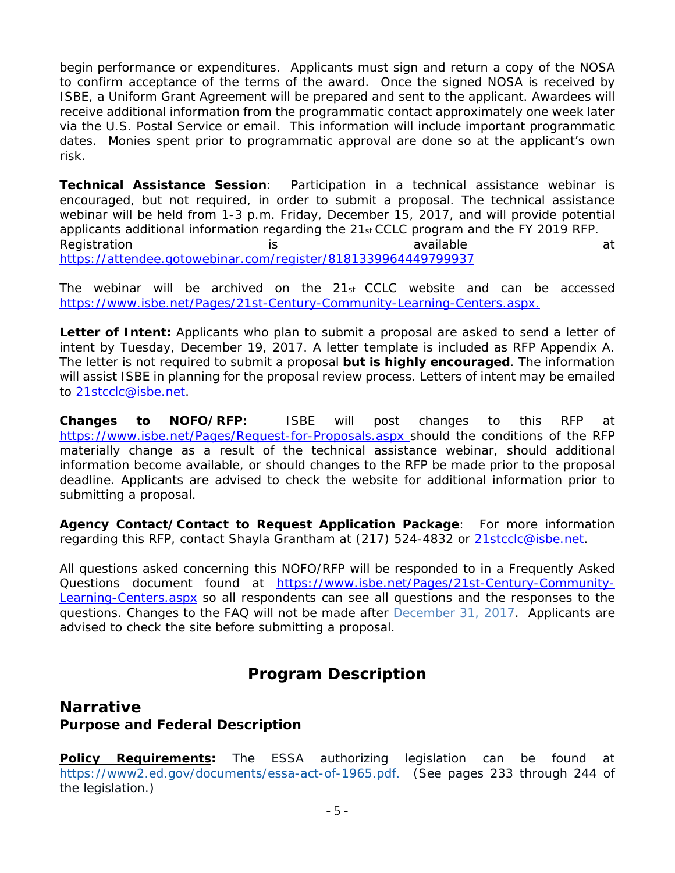begin performance or expenditures. Applicants must sign and return a copy of the NOSA to confirm acceptance of the terms of the award. Once the signed NOSA is received by ISBE, a Uniform Grant Agreement will be prepared and sent to the applicant. Awardees will receive additional information from the programmatic contact approximately one week later via the U.S. Postal Service or email. This information will include important programmatic dates. Monies spent prior to programmatic approval are done so at the applicant's own risk.

**Technical Assistance Session**: Participation in a technical assistance webinar is encouraged, but not required, in order to submit a proposal. The technical assistance webinar will be held from 1-3 p.m. Friday, December 15, 2017, and will provide potential applicants additional information regarding the 21st CCLC program and the FY 2019 RFP. Registration is is available available at the state at the set of the state at at a contract at a contract at a https://attendee.gotowebinar.com/register/8181339964449799937

The webinar will be archived on the 21st CCLC website and can be accessed https://www.isbe.net/Pages/21st-Century-Community-Learning-Centers.aspx.

Letter of Intent: Applicants who plan to submit a proposal are asked to send a letter of intent by Tuesday, December 19, 2017. A letter template is included as RFP Appendix A. The letter is not required to submit a proposal **but is highly encouraged**. The information will assist ISBE in planning for the proposal review process. Letters of intent may be emailed to 21stcclc@isbe.net.

**Changes to NOFO/RFP:** ISBE will post changes to this RFP at https://www.isbe.net/Pages/Request-for-Proposals.aspx should the conditions of the RFP materially change as a result of the technical assistance webinar, should additional information become available, or should changes to the RFP be made prior to the proposal deadline. Applicants are advised to check the website for additional information prior to submitting a proposal.

**Agency Contact/Contact to Request Application Package**: For more information regarding this RFP, contact Shayla Grantham at (217) 524-4832 or 21stcclc@isbe.net.

All questions asked concerning this NOFO/RFP will be responded to in a Frequently Asked Questions document found at https://www.isbe.net/Pages/21st-Century-Community-Learning-Centers.aspx so all respondents can see all questions and the responses to the questions. Changes to the FAQ will not be made after December 31, 2017. Applicants are advised to check the site before submitting a proposal.

# **Program Description**

# **Narrative Purpose and Federal Description**

**Policy Requirements:** The ESSA authorizing legislation can be found at https://www2.ed.gov/documents/essa-act-of-1965.pdf. (See pages 233 through 244 of the legislation.)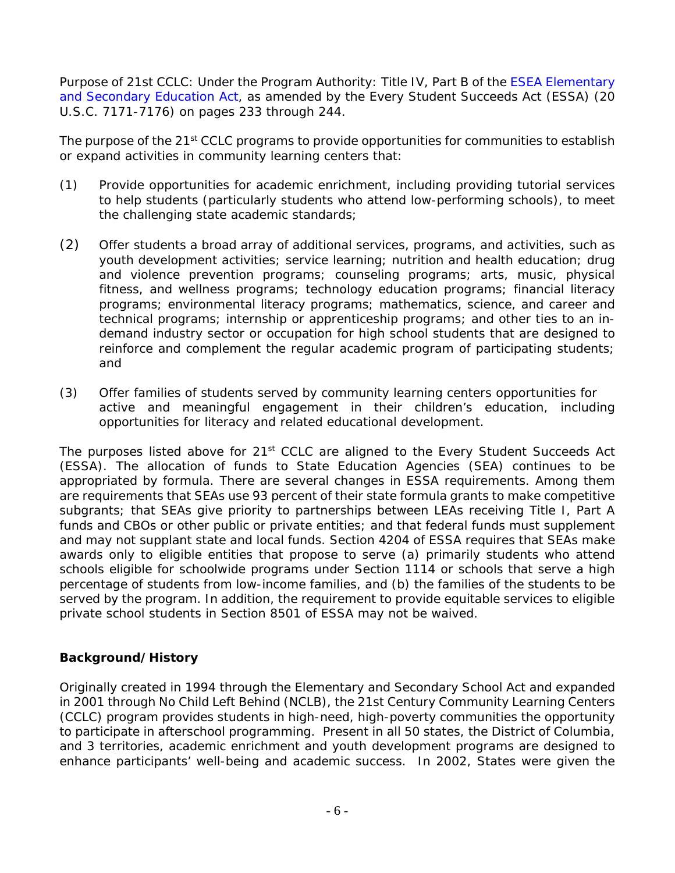Purpose of 21st CCLC: Under the Program Authority: Title IV, Part B of the ESEA Elementary and Secondary Education Act, as amended by the Every Student Succeeds Act (ESSA) (20 U.S.C. 7171-7176) on pages 233 through 244.

The purpose of the 21<sup>st</sup> CCLC programs to provide opportunities for communities to establish or expand activities in community learning centers that:

- (1) Provide opportunities for academic enrichment, including providing tutorial services to help students (particularly students who attend low-performing schools), to meet the challenging state academic standards;
- (2) Offer students a broad array of additional services, programs, and activities, such as youth development activities; service learning; nutrition and health education; drug and violence prevention programs; counseling programs; arts, music, physical fitness, and wellness programs; technology education programs; financial literacy programs; environmental literacy programs; mathematics, science, and career and technical programs; internship or apprenticeship programs; and other ties to an indemand industry sector or occupation for high school students that are designed to reinforce and complement the regular academic program of participating students; and
- (3) Offer families of students served by community learning centers opportunities for active and meaningful engagement in their children's education, including opportunities for literacy and related educational development.

The purposes listed above for 21<sup>st</sup> CCLC are aligned to the Every Student Succeeds Act (ESSA). The allocation of funds to State Education Agencies (SEA) continues to be appropriated by formula. There are several changes in ESSA requirements. Among them are requirements that SEAs use 93 percent of their state formula grants to make competitive subgrants; that SEAs give priority to partnerships between LEAs receiving Title I, Part A funds and CBOs or other public or private entities; and that federal funds must supplement and may not supplant state and local funds. Section 4204 of ESSA requires that SEAs make awards only to eligible entities that propose to serve (a) primarily students who attend schools eligible for schoolwide programs under Section 1114 or schools that serve a high percentage of students from low-income families, and (b) the families of the students to be served by the program. In addition, the requirement to provide equitable services to eligible private school students in Section 8501 of ESSA may not be waived.

#### **Background/History**

Originally created in 1994 through the Elementary and Secondary School Act and expanded in 2001 through No Child Left Behind (NCLB), the 21st Century Community Learning Centers (CCLC) program provides students in high-need, high-poverty communities the opportunity to participate in afterschool programming. Present in all 50 states, the District of Columbia, and 3 territories, academic enrichment and youth development programs are designed to enhance participants' well-being and academic success. In 2002, States were given the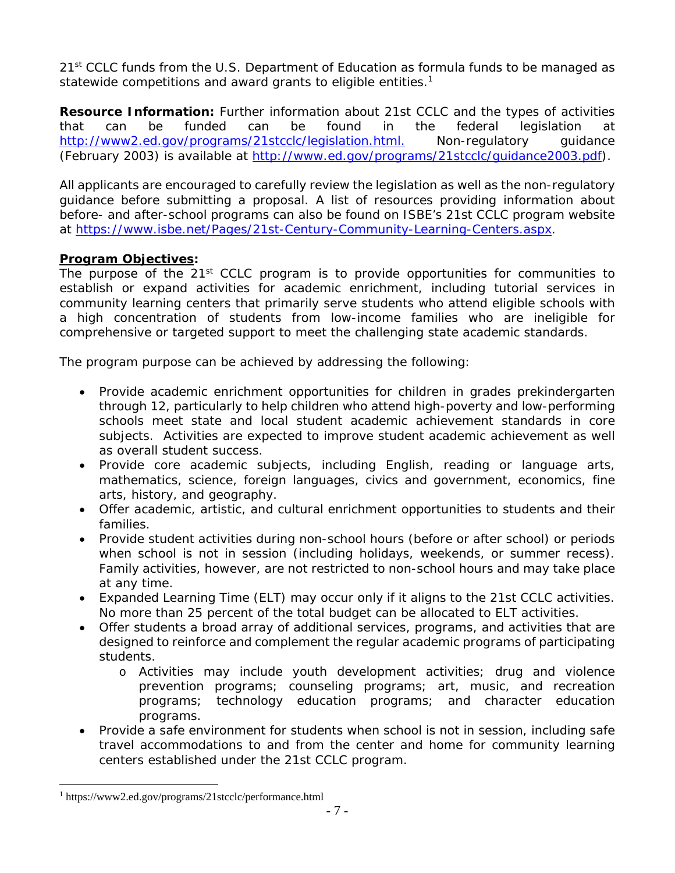21<sup>st</sup> CCLC funds from the U.S. Department of Education as formula funds to be managed as statewide competitions and award grants to eligible entities.<sup>1</sup>

**Resource Information:** Further information about 21st CCLC and the types of activities that can be funded can be found in the federal legislation at http://www2.ed.gov/programs/21stcclc/legislation.html. Non-regulatory guidance (February 2003) is available at http://www.ed.gov/programs/21stcclc/guidance2003.pdf).

All applicants are encouraged to carefully review the legislation as well as the non-regulatory guidance before submitting a proposal. A list of resources providing information about before- and after-school programs can also be found on ISBE's 21st CCLC program website at https://www.isbe.net/Pages/21st-Century-Community-Learning-Centers.aspx.

#### **Program Objectives:**

The purpose of the 21<sup>st</sup> CCLC program is to provide opportunities for communities to establish or expand activities for academic enrichment, including tutorial services in community learning centers that primarily serve students who attend eligible schools with a high concentration of students from low-income families who are ineligible for comprehensive or targeted support to meet the challenging state academic standards.

The program purpose can be achieved by addressing the following:

- Provide academic enrichment opportunities for children in grades prekindergarten through 12, particularly to help children who attend high-poverty and low-performing schools meet state and local student academic achievement standards in core subjects. Activities are expected to improve student academic achievement as well as overall student success.
- Provide core academic subjects, including English, reading or language arts, mathematics, science, foreign languages, civics and government, economics, fine arts, history, and geography.
- Offer academic, artistic, and cultural enrichment opportunities to students and their families.
- Provide student activities during non-school hours (before or after school) or periods when school is not in session (including holidays, weekends, or summer recess). Family activities, however, are not restricted to non-school hours and may take place at any time.
- Expanded Learning Time (ELT) may occur only if it aligns to the 21st CCLC activities. No more than 25 percent of the total budget can be allocated to ELT activities.
- Offer students a broad array of additional services, programs, and activities that are designed to reinforce and complement the regular academic programs of participating students.
	- o Activities may include youth development activities; drug and violence prevention programs; counseling programs; art, music, and recreation programs; technology education programs; and character education programs.
- Provide a safe environment for students when school is not in session, including safe travel accommodations to and from the center and home for community learning centers established under the 21st CCLC program.

 $\overline{a}$ 

<sup>1</sup> https://www2.ed.gov/programs/21stcclc/performance.html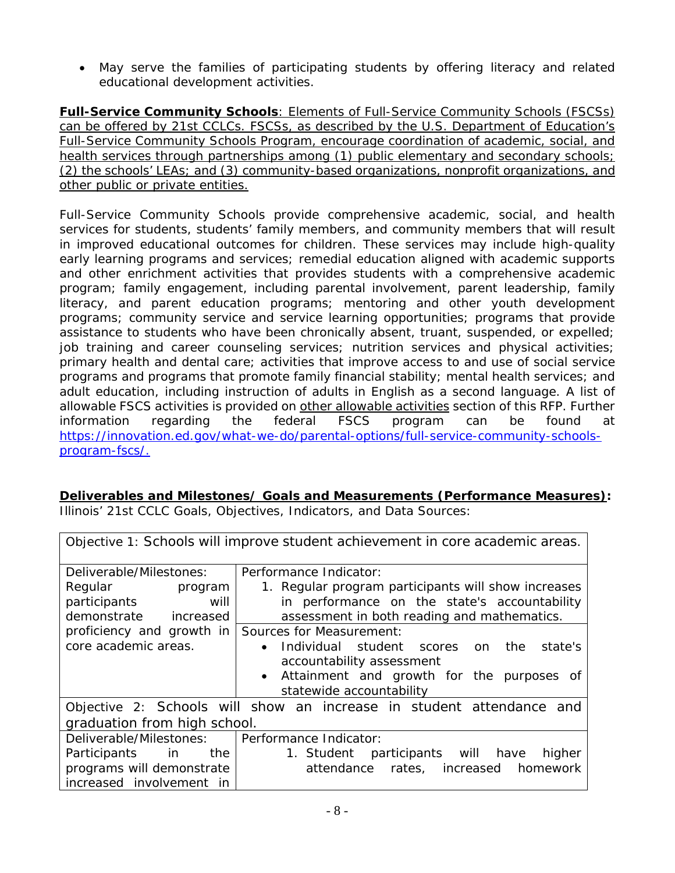May serve the families of participating students by offering literacy and related educational development activities.

**Full-Service Community Schools**: Elements of Full-Service Community Schools (FSCSs) can be offered by 21st CCLCs. FSCSs, as described by the U.S. Department of Education's Full-Service Community Schools Program, encourage coordination of academic, social, and health services through partnerships among (1) public elementary and secondary schools; (2) the schools' LEAs; and (3) community-based organizations, nonprofit organizations, and other public or private entities.

Full-Service Community Schools provide comprehensive academic, social, and health services for students, students' family members, and community members that will result in improved educational outcomes for children. These services may include high-quality early learning programs and services; remedial education aligned with academic supports and other enrichment activities that provides students with a comprehensive academic program; family engagement, including parental involvement, parent leadership, family literacy, and parent education programs; mentoring and other youth development programs; community service and service learning opportunities; programs that provide assistance to students who have been chronically absent, truant, suspended, or expelled; job training and career counseling services; nutrition services and physical activities; primary health and dental care; activities that improve access to and use of social service programs and programs that promote family financial stability; mental health services; and adult education, including instruction of adults in English as a second language. A list of allowable FSCS activities is provided on other allowable activities section of this RFP. Further information regarding the federal FSCS program can be found at https://innovation.ed.gov/what-we-do/parental-options/full-service-community-schoolsprogram-fscs/.

## **Deliverables and Milestones/ Goals and Measurements (Performance Measures):**

| Objective 1: Schools will improve student achievement in core academic areas.     |                                                                                                                                                                                                             |  |
|-----------------------------------------------------------------------------------|-------------------------------------------------------------------------------------------------------------------------------------------------------------------------------------------------------------|--|
| Deliverable/Milestones:<br>Regular program<br>participants<br>will                | Performance Indicator:<br>1. Regular program participants will show increases<br>in performance on the state's accountability                                                                               |  |
| demonstrate increased                                                             | assessment in both reading and mathematics.                                                                                                                                                                 |  |
| proficiency and growth in<br>core academic areas.                                 | Sources for Measurement:<br>state's<br>Individual student scores<br>the<br><sub>on</sub><br>accountability assessment<br>Attainment and growth for the purposes of<br>$\bullet$<br>statewide accountability |  |
|                                                                                   | Objective 2: Schools will show an increase in student attendance<br>and                                                                                                                                     |  |
| graduation from high school.                                                      |                                                                                                                                                                                                             |  |
| Deliverable/Milestones:   Performance Indicator:                                  |                                                                                                                                                                                                             |  |
| Participants in<br>the I<br>programs will demonstrate<br>increased involvement in | participants will<br>have<br>1. Student<br>higher<br>rates, increased<br>attendance<br>homework                                                                                                             |  |

Illinois' 21st CCLC Goals, Objectives, Indicators, and Data Sources: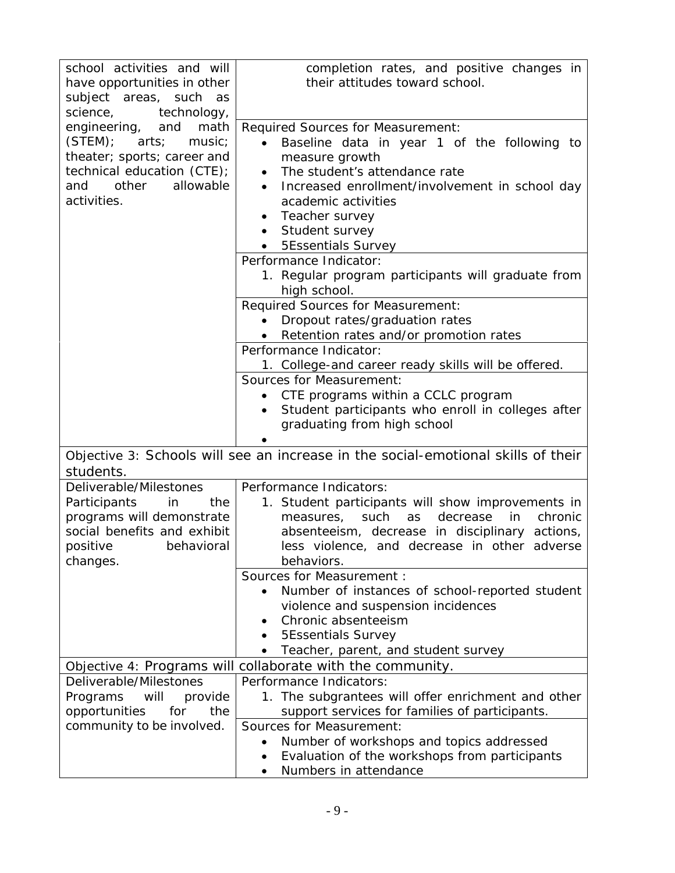| school activities and will                                | completion rates, and positive changes in                                         |
|-----------------------------------------------------------|-----------------------------------------------------------------------------------|
| have opportunities in other                               | their attitudes toward school.                                                    |
| subject areas, such as                                    |                                                                                   |
| science,<br>technology,<br>math                           |                                                                                   |
| engineering,<br>and<br>(STEM);<br>arts;<br>music;         | Required Sources for Measurement:                                                 |
|                                                           | Baseline data in year 1 of the following to<br>$\bullet$                          |
| theater; sports; career and<br>technical education (CTE); | measure growth<br>The student's attendance rate                                   |
| allowable<br>other<br>and                                 | $\bullet$                                                                         |
| activities.                                               | Increased enrollment/involvement in school day<br>academic activities             |
|                                                           | Teacher survey                                                                    |
|                                                           | Student survey<br>$\bullet$                                                       |
|                                                           | <b>5Essentials Survey</b>                                                         |
|                                                           | Performance Indicator:                                                            |
|                                                           | 1. Regular program participants will graduate from                                |
|                                                           | high school.                                                                      |
|                                                           | Required Sources for Measurement:                                                 |
|                                                           | Dropout rates/graduation rates                                                    |
|                                                           | Retention rates and/or promotion rates                                            |
|                                                           | Performance Indicator:                                                            |
|                                                           | 1. College-and career ready skills will be offered.                               |
|                                                           | <b>Sources for Measurement:</b>                                                   |
|                                                           | CTE programs within a CCLC program                                                |
|                                                           | Student participants who enroll in colleges after                                 |
|                                                           | graduating from high school                                                       |
|                                                           |                                                                                   |
| students.                                                 | Objective 3: Schools will see an increase in the social-emotional skills of their |
| Deliverable/Milestones                                    | Performance Indicators:                                                           |
| Participants<br>in<br>the I                               | 1. Student participants will show improvements in                                 |
| programs will demonstrate                                 | chronic<br>such<br>decrease<br>in<br>measures,<br>as                              |
| social benefits and exhibit                               | absenteeism, decrease in disciplinary actions,                                    |
| positive<br>behavioral                                    | less violence, and decrease in other adverse                                      |
| changes.                                                  | behaviors.                                                                        |
|                                                           | Sources for Measurement :                                                         |
|                                                           | Number of instances of school-reported student                                    |
|                                                           | violence and suspension incidences                                                |
|                                                           | Chronic absenteeism                                                               |
|                                                           | <b>5Essentials Survey</b>                                                         |
|                                                           | Teacher, parent, and student survey                                               |
|                                                           | Objective 4: Programs will collaborate with the community.                        |
| Deliverable/Milestones                                    | Performance Indicators:                                                           |
| will<br>Programs<br>provide                               | 1. The subgrantees will offer enrichment and other                                |
| opportunities<br>for<br>the                               | support services for families of participants.                                    |
| community to be involved.                                 | <b>Sources for Measurement:</b>                                                   |
|                                                           | Number of workshops and topics addressed                                          |
|                                                           | Evaluation of the workshops from participants                                     |
|                                                           | Numbers in attendance                                                             |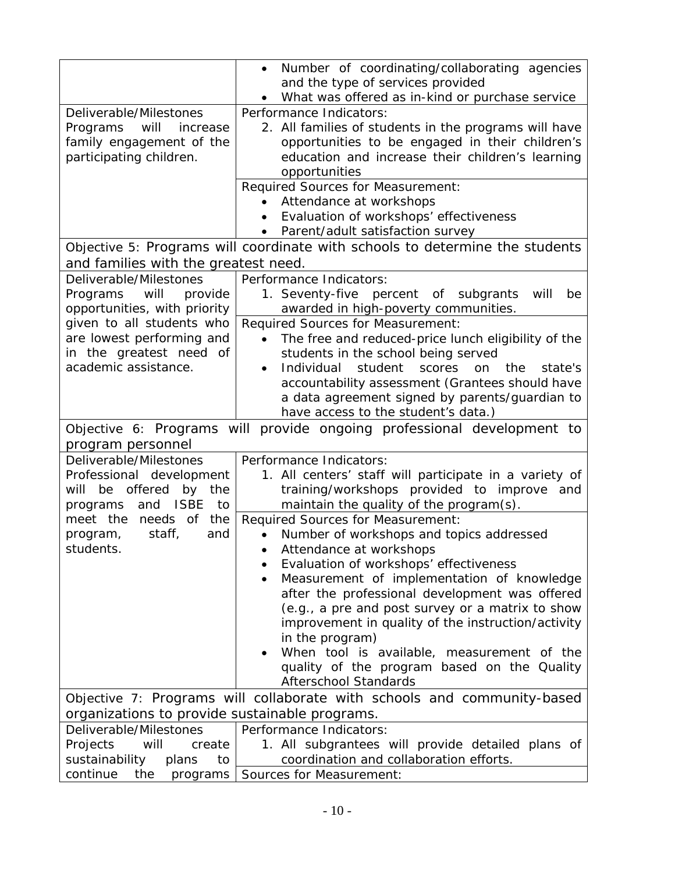|                                                             | Number of coordinating/collaborating agencies<br>$\bullet$<br>and the type of services provided |
|-------------------------------------------------------------|-------------------------------------------------------------------------------------------------|
|                                                             | What was offered as in-kind or purchase service                                                 |
| Deliverable/Milestones                                      | Performance Indicators:                                                                         |
| Programs<br>will<br>increase                                | 2. All families of students in the programs will have                                           |
| family engagement of the                                    | opportunities to be engaged in their children's                                                 |
| participating children.                                     | education and increase their children's learning                                                |
|                                                             | opportunities                                                                                   |
|                                                             | Required Sources for Measurement:                                                               |
|                                                             | Attendance at workshops                                                                         |
|                                                             | Evaluation of workshops' effectiveness                                                          |
|                                                             | Parent/adult satisfaction survey                                                                |
|                                                             | Objective 5: Programs will coordinate with schools to determine the students                    |
| and families with the greatest need.                        |                                                                                                 |
| Deliverable/Milestones                                      | Performance Indicators:                                                                         |
| will<br>provide<br>Programs                                 | 1. Seventy-five percent of subgrants<br>will<br>be                                              |
| opportunities, with priority                                | awarded in high-poverty communities.                                                            |
| given to all students who                                   | Required Sources for Measurement:                                                               |
| are lowest performing and                                   | The free and reduced-price lunch eligibility of the<br>$\bullet$                                |
| in the greatest need of                                     | students in the school being served                                                             |
| academic assistance.                                        | Individual<br>student<br>scores<br>the<br>on<br>state's                                         |
|                                                             | accountability assessment (Grantees should have                                                 |
|                                                             | a data agreement signed by parents/guardian to<br>have access to the student's data.)           |
|                                                             |                                                                                                 |
|                                                             |                                                                                                 |
|                                                             | Objective 6: Programs will provide ongoing professional development to                          |
| program personnel                                           |                                                                                                 |
| Deliverable/Milestones                                      | Performance Indicators:                                                                         |
| Professional development<br>be<br>offered<br>will           | 1. All centers' staff will participate in a variety of                                          |
| by the<br><b>ISBE</b><br>to<br>and                          | training/workshops provided to improve and                                                      |
| programs<br>meet the needs of the                           | maintain the quality of the program(s).<br><b>Required Sources for Measurement:</b>             |
| staff,<br>program,<br>and                                   | Number of workshops and topics addressed                                                        |
| students.                                                   | Attendance at workshops                                                                         |
|                                                             | Evaluation of workshops' effectiveness                                                          |
|                                                             | Measurement of implementation of knowledge                                                      |
|                                                             | after the professional development was offered                                                  |
|                                                             | (e.g., a pre and post survey or a matrix to show                                                |
|                                                             | improvement in quality of the instruction/activity                                              |
|                                                             | in the program)                                                                                 |
|                                                             | When tool is available, measurement of the                                                      |
|                                                             | quality of the program based on the Quality                                                     |
|                                                             | <b>Afterschool Standards</b>                                                                    |
|                                                             | Objective 7: Programs will collaborate with schools and community-based                         |
| organizations to provide sustainable programs.              |                                                                                                 |
| Deliverable/Milestones                                      | Performance Indicators:                                                                         |
| Projects<br>will<br>create<br>sustainability<br>to<br>plans | 1. All subgrantees will provide detailed plans of<br>coordination and collaboration efforts.    |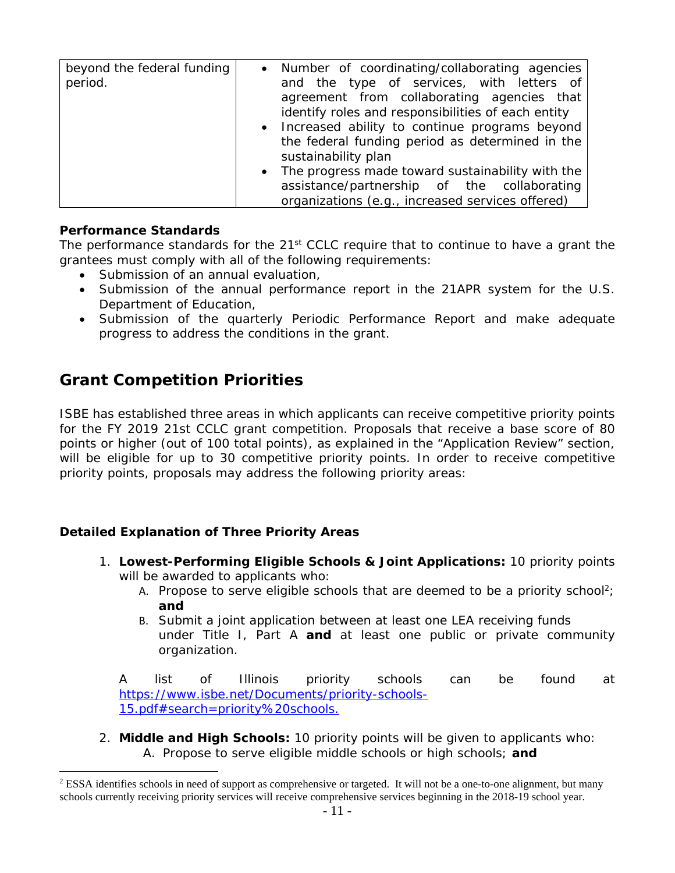| beyond the federal funding | Number of coordinating/collaborating agencies<br>$\bullet$                              |
|----------------------------|-----------------------------------------------------------------------------------------|
| period.                    | and the type of services, with letters of<br>agreement from collaborating agencies that |
|                            |                                                                                         |
|                            | identify roles and responsibilities of each entity                                      |
|                            | • Increased ability to continue programs beyond                                         |
|                            | the federal funding period as determined in the                                         |
|                            | sustainability plan                                                                     |
|                            | The progress made toward sustainability with the<br>$\bullet$                           |
|                            | assistance/partnership of the collaborating                                             |
|                            | organizations (e.g., increased services offered)                                        |

#### **Performance Standards**

 $\overline{a}$ 

The performance standards for the  $21<sup>st</sup>$  CCLC require that to continue to have a grant the grantees must comply with all of the following requirements:

- Submission of an annual evaluation,
- Submission of the annual performance report in the 21APR system for the U.S. Department of Education,
- Submission of the quarterly Periodic Performance Report and make adequate progress to address the conditions in the grant.

# **Grant Competition Priorities**

ISBE has established three areas in which applicants can receive competitive priority points for the FY 2019 21st CCLC grant competition. Proposals that receive a base score of 80 points or higher (out of 100 total points), as explained in the "Application Review" section, will be eligible for up to 30 competitive priority points. In order to receive competitive priority points, proposals may address the following priority areas:

## **Detailed Explanation of Three Priority Areas**

- 1. **Lowest-Performing Eligible Schools & Joint Applications:** *10 priority points*  will be awarded to applicants who:
	- A. Propose to serve eligible schools that are deemed to be a priority school? **and**
	- B. Submit a joint application between at least one LEA receiving funds under Title I, Part A **and** at least one public or private community organization.

A list of Illinois priority schools can be found at https://www.isbe.net/Documents/priority-schools-15.pdf#search=priority%20schools.

2. **Middle and High Schools:** *10 priority points* will be given to applicants who: A. Propose to serve eligible middle schools or high schools; **and** 

 $2$  ESSA identifies schools in need of support as comprehensive or targeted. It will not be a one-to-one alignment, but many schools currently receiving priority services will receive comprehensive services beginning in the 2018-19 school year.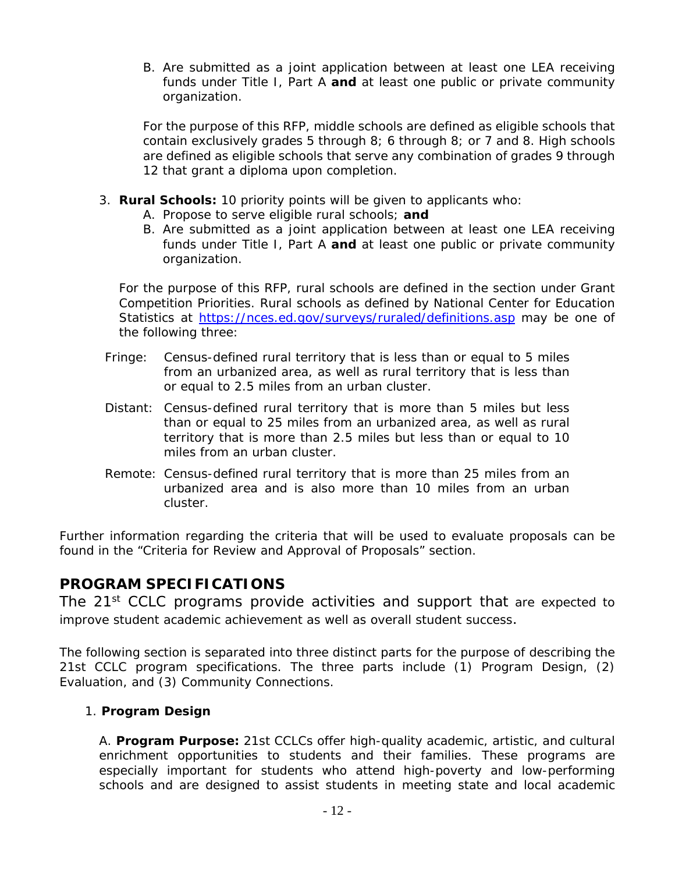B. Are submitted as a joint application between at least one LEA receiving funds under Title I, Part A **and** at least one public or private community organization.

For the purpose of this RFP, middle schools are defined as eligible schools that contain exclusively grades 5 through 8; 6 through 8; or 7 and 8. High schools are defined as eligible schools that serve any combination of grades 9 through 12 that grant a diploma upon completion.

- 3. **Rural Schools:** *10 priority points* will be given to applicants who:
	- A. Propose to serve eligible rural schools; **and**
	- B. Are submitted as a joint application between at least one LEA receiving funds under Title I, Part A **and** at least one public or private community organization.

For the purpose of this RFP, rural schools are defined in the section under Grant Competition Priorities. Rural schools as defined by National Center for Education Statistics at https://nces.ed.gov/surveys/ruraled/definitions.asp may be one of the following three:

- Fringe: Census-defined rural territory that is less than or equal to 5 miles from an urbanized area, as well as rural territory that is less than or equal to 2.5 miles from an urban cluster.
- Distant: Census-defined rural territory that is more than 5 miles but less than or equal to 25 miles from an urbanized area, as well as rural territory that is more than 2.5 miles but less than or equal to 10 miles from an urban cluster.
- Remote: Census-defined rural territory that is more than 25 miles from an urbanized area and is also more than 10 miles from an urban cluster.

Further information regarding the criteria that will be used to evaluate proposals can be found in the "Criteria for Review and Approval of Proposals*"* section.

## **PROGRAM SPECIFICATIONS**

The 21<sup>st</sup> CCLC programs provide activities and support that are expected to improve student academic achievement as well as overall student success.

The following section is separated into three distinct parts for the purpose of describing the 21st CCLC program specifications. The three parts include (1) Program Design, (2) Evaluation, and (3) Community Connections.

#### 1. **Program Design**

A. **Program Purpose:** 21st CCLCs offer high-quality academic, artistic, and cultural enrichment opportunities to students and their families. These programs are especially important for students who attend high-poverty and low-performing schools and are designed to assist students in meeting state and local academic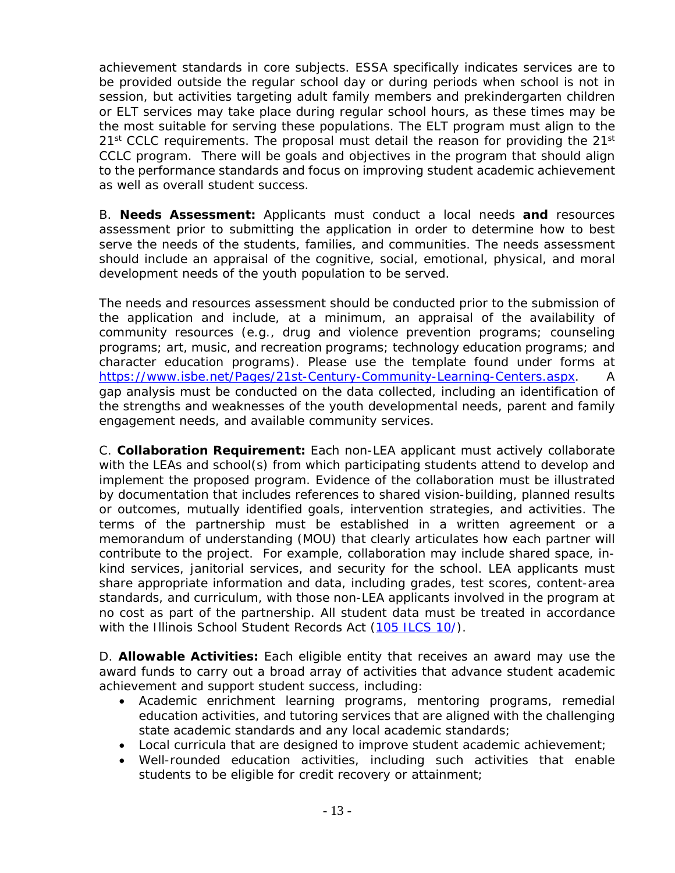achievement standards in core subjects. ESSA specifically indicates services are to be provided outside the regular school day or during periods when school is not in session, but activities targeting adult family members and prekindergarten children or ELT services may take place during regular school hours, as these times may be the most suitable for serving these populations. The ELT program must align to the  $21<sup>st</sup>$  CCLC requirements. The proposal must detail the reason for providing the  $21<sup>st</sup>$ CCLC program. There will be goals and objectives in the program that should align to the performance standards and focus on improving student academic achievement as well as overall student success.

B. **Needs Assessment:** Applicants must conduct a local needs **and** resources assessment prior to submitting the application in order to determine how to best serve the needs of the students, families, and communities. The needs assessment should include an appraisal of the cognitive, social, emotional, physical, and moral development needs of the youth population to be served.

The needs and resources assessment should be conducted prior to the submission of the application and include, at a minimum, an appraisal of the availability of community resources (e.g., drug and violence prevention programs; counseling programs; art, music, and recreation programs; technology education programs; and character education programs). Please use the template found under forms at https://www.isbe.net/Pages/21st-Century-Community-Learning-Centers.aspx. A gap analysis must be conducted on the data collected, including an identification of the strengths and weaknesses of the youth developmental needs, parent and family engagement needs, and available community services.

C. **Collaboration Requirement:** Each non-LEA applicant must actively collaborate with the LEAs and school(s) from which participating students attend to develop and implement the proposed program. Evidence of the collaboration must be illustrated by documentation that includes references to shared vision-building, planned results or outcomes, mutually identified goals, intervention strategies, and activities. The terms of the partnership must be established in a written agreement or a memorandum of understanding (MOU) that clearly articulates how each partner will contribute to the project. For example, collaboration may include shared space, inkind services, janitorial services, and security for the school. LEA applicants must share appropriate information and data, including grades, test scores, content-area standards, and curriculum, with those non-LEA applicants involved in the program at no cost as part of the partnership. All student data must be treated in accordance with the Illinois School Student Records Act (105 ILCS 10/).

D. **Allowable Activities:** Each eligible entity that receives an award may use the award funds to carry out a broad array of activities that advance student academic achievement and support student success, including:

- Academic enrichment learning programs, mentoring programs, remedial education activities, and tutoring services that are aligned with the challenging state academic standards and any local academic standards;
- Local curricula that are designed to improve student academic achievement;
- Well-rounded education activities, including such activities that enable students to be eligible for credit recovery or attainment;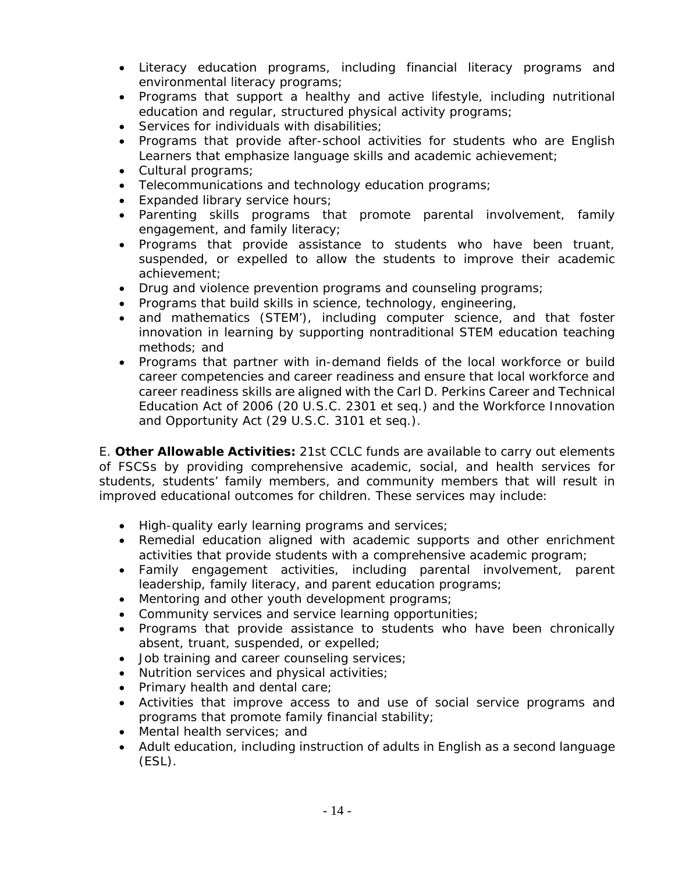- Literacy education programs, including financial literacy programs and environmental literacy programs;
- Programs that support a healthy and active lifestyle, including nutritional education and regular, structured physical activity programs;
- Services for individuals with disabilities;
- Programs that provide after-school activities for students who are English Learners that emphasize language skills and academic achievement;
- Cultural programs;
- Telecommunications and technology education programs;
- Expanded library service hours;
- Parenting skills programs that promote parental involvement, family engagement, and family literacy;
- Programs that provide assistance to students who have been truant, suspended, or expelled to allow the students to improve their academic achievement;
- Drug and violence prevention programs and counseling programs;
- Programs that build skills in science, technology, engineering,
- and mathematics (STEM'), including computer science, and that foster innovation in learning by supporting nontraditional STEM education teaching methods; and
- Programs that partner with in-demand fields of the local workforce or build career competencies and career readiness and ensure that local workforce and career readiness skills are aligned with the Carl D. Perkins Career and Technical Education Act of 2006 (20 U.S.C. 2301 et seq.) and the Workforce Innovation and Opportunity Act (29 U.S.C. 3101 et seq.).

E. **Other Allowable Activities:** 21st CCLC funds are available to carry out elements of FSCSs by providing comprehensive academic, social, and health services for students, students' family members, and community members that will result in improved educational outcomes for children. These services may include:

- High-quality early learning programs and services;
- Remedial education aligned with academic supports and other enrichment activities that provide students with a comprehensive academic program;
- Family engagement activities, including parental involvement, parent leadership, family literacy, and parent education programs;
- Mentoring and other youth development programs;
- Community services and service learning opportunities;
- Programs that provide assistance to students who have been chronically absent, truant, suspended, or expelled;
- Job training and career counseling services;
- Nutrition services and physical activities;
- Primary health and dental care;
- Activities that improve access to and use of social service programs and programs that promote family financial stability;
- Mental health services; and
- Adult education, including instruction of adults in English as a second language (ESL).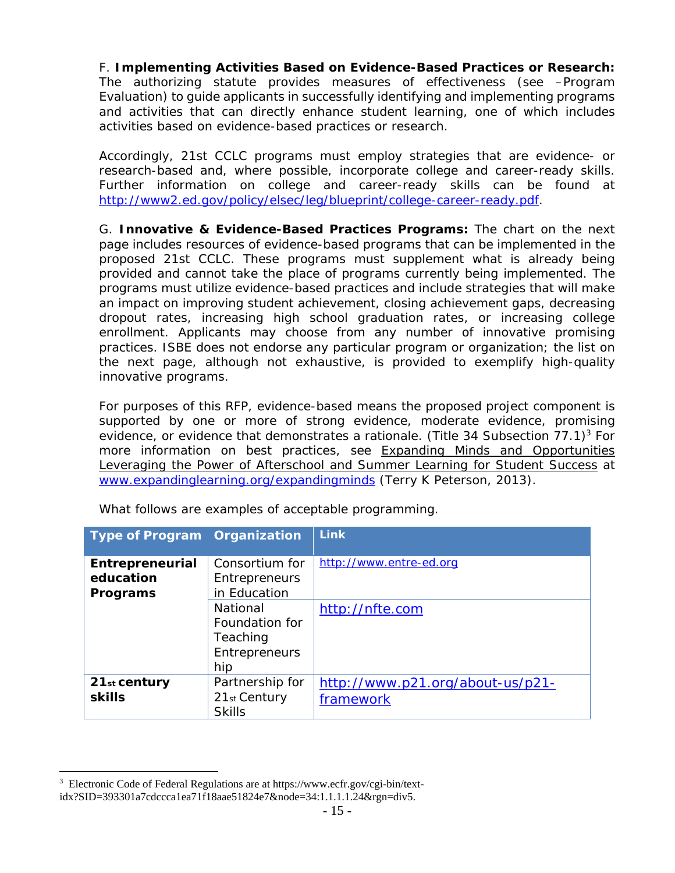F. **Implementing Activities Based on Evidence-Based Practices or Research:**  The authorizing statute provides *measures of effectiveness* (see –Program Evaluation) to guide applicants in successfully identifying and implementing programs and activities that can directly enhance student learning, one of which includes activities based on evidence-based practices or research.

Accordingly, 21st CCLC programs must employ strategies that are evidence- or research-based and, where possible, incorporate college and career-ready skills. Further information on college and career-ready skills can be found at http://www2.ed.gov/policy/elsec/leg/blueprint/college-career-ready.pdf.

G. **Innovative & Evidence-Based Practices Programs:** The chart on the next page includes resources of evidence-based programs that can be implemented in the proposed 21st CCLC. These programs must supplement what is already being provided and cannot take the place of programs currently being implemented. The programs must utilize evidence-based practices and include strategies that will make an impact on improving student achievement, closing achievement gaps, decreasing dropout rates, increasing high school graduation rates, or increasing college enrollment. Applicants may choose from any number of innovative promising practices. ISBE does not endorse any particular program or organization; the list on the next page, although not exhaustive, is provided to exemplify high-quality innovative programs.

For purposes of this RFP, evidence-based means the proposed project component is supported by one or more of strong evidence, moderate evidence, promising evidence, or evidence that demonstrates a rationale. (Title 34 Subsection 77.1)<sup>3</sup> For more information on best practices, see Expanding Minds and Opportunities Leveraging the Power of Afterschool and Summer Learning for Student Success at www.expandinglearning.org/expandingminds (Terry K Peterson, 2013).

| <b>Type of Program Organization</b>      |                                                                | <b>Link</b>                                   |
|------------------------------------------|----------------------------------------------------------------|-----------------------------------------------|
| Entrepreneurial<br>education<br>Programs | Consortium for<br>Entrepreneurs<br>in Education                | http://www.entre-ed.org                       |
|                                          | National<br>Foundation for<br>Teaching<br>Entrepreneurs<br>hip | http://nfte.com                               |
| $21st$ century<br><b>skills</b>          | Partnership for<br>21st Century<br><b>Skills</b>               | http://www.p21.org/about-us/p21-<br>framework |

What follows are examples of acceptable programming.

 $\overline{a}$ 

<sup>&</sup>lt;sup>3</sup> Electronic Code of Federal Regulations are at https://www.ecfr.gov/cgi-bin/textidx?SID=393301a7cdccca1ea71f18aae51824e7&node=34:1.1.1.1.24&rgn=div5.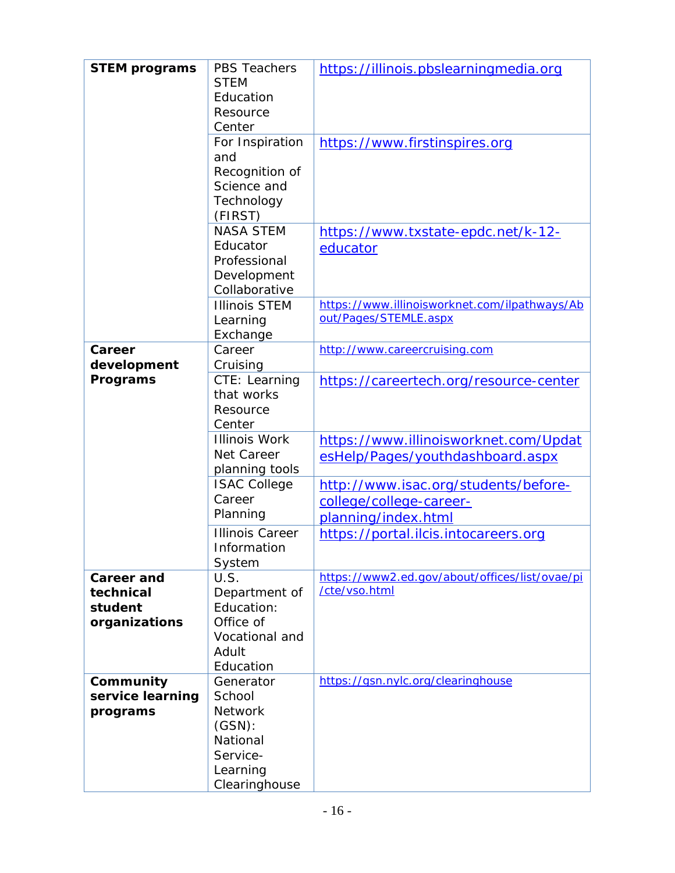| <b>STEM programs</b> | <b>PBS Teachers</b><br><b>STEM</b> | https://illinois.pbslearningmedia.org          |
|----------------------|------------------------------------|------------------------------------------------|
|                      | Education                          |                                                |
|                      | Resource                           |                                                |
|                      | Center                             |                                                |
|                      |                                    |                                                |
|                      | For Inspiration                    | https://www.firstinspires.org                  |
|                      | and                                |                                                |
|                      | Recognition of                     |                                                |
|                      | Science and                        |                                                |
|                      | Technology                         |                                                |
|                      | (FIRST)                            |                                                |
|                      | <b>NASA STEM</b>                   | https://www.txstate-epdc.net/k-12-             |
|                      | Educator                           | educator                                       |
|                      | Professional                       |                                                |
|                      | Development                        |                                                |
|                      | Collaborative                      |                                                |
|                      | <b>Illinois STEM</b>               | https://www.illinoisworknet.com/ilpathways/Ab  |
|                      | Learning                           | out/Pages/STEMLE.aspx                          |
|                      | Exchange                           |                                                |
| Career               | Career                             | http://www.careercruising.com                  |
| development          | Cruising                           |                                                |
| Programs             | CTE: Learning                      | https://careertech.org/resource-center         |
|                      | that works                         |                                                |
|                      | Resource                           |                                                |
|                      | Center                             |                                                |
|                      | <b>Illinois Work</b>               | https://www.illinoisworknet.com/Updat          |
|                      | Net Career                         | esHelp/Pages/youthdashboard.aspx               |
|                      | planning tools                     |                                                |
|                      | <b>ISAC College</b>                | http://www.isac.org/students/before-           |
|                      | Career                             | college/college-career-                        |
|                      | Planning                           |                                                |
|                      |                                    | planning/index.html                            |
|                      | <b>Illinois Career</b>             | https://portal.ilcis.intocareers.org           |
|                      | Information                        |                                                |
|                      | System                             | https://www2.ed.gov/about/offices/list/ovae/pi |
| <b>Career and</b>    | U.S.                               | /cte/vso.html                                  |
| technical            | Department of                      |                                                |
| student              | Education:                         |                                                |
| organizations        | Office of                          |                                                |
|                      | Vocational and                     |                                                |
|                      | Adult                              |                                                |
|                      | Education                          |                                                |
| Community            | Generator                          | https://gsn.nylc.org/clearinghouse             |
| service learning     | School                             |                                                |
| programs             | <b>Network</b>                     |                                                |
|                      | $(GSN)$ :                          |                                                |
|                      | National                           |                                                |
|                      | Service-                           |                                                |
|                      | Learning                           |                                                |
|                      | Clearinghouse                      |                                                |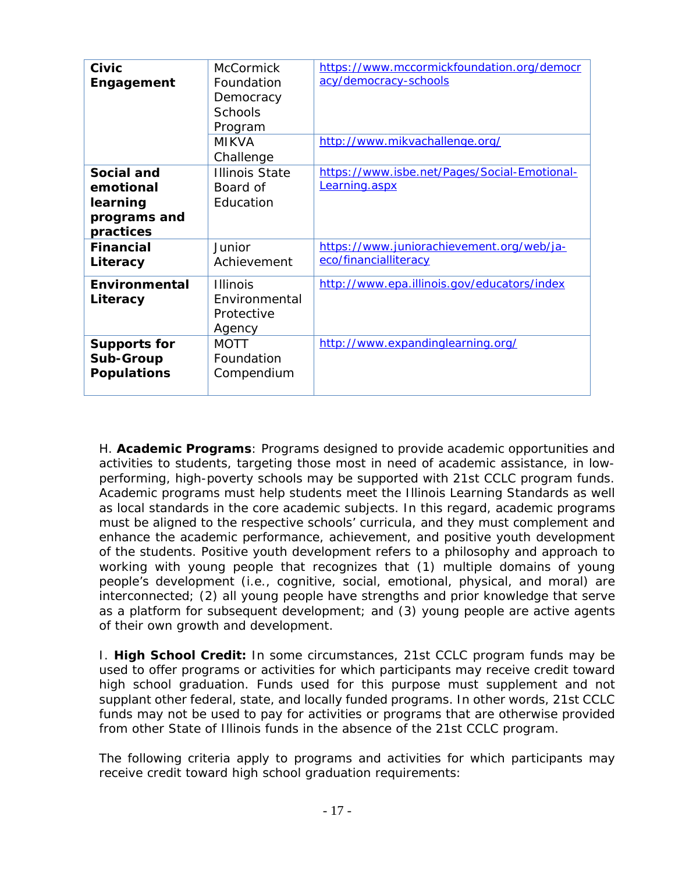| Civic<br>Engagement                                              | <b>McCormick</b><br>Foundation<br>Democracy<br><b>Schools</b><br>Program<br><b>MIKVA</b><br>Challenge | https://www.mccormickfoundation.org/democr<br>acy/democracy-schools<br>http://www.mikvachallenge.org/ |
|------------------------------------------------------------------|-------------------------------------------------------------------------------------------------------|-------------------------------------------------------------------------------------------------------|
| Social and<br>emotional<br>learning<br>programs and<br>practices | <b>Illinois State</b><br>Board of<br>Education                                                        | https://www.isbe.net/Pages/Social-Emotional-<br>Learning.aspx                                         |
| <b>Financial</b><br>Literacy                                     | Junior<br>Achievement                                                                                 | https://www.juniorachievement.org/web/ja-<br>eco/financialliteracy                                    |
| Environmental<br>Literacy                                        | <b>Illinois</b><br>Environmental<br>Protective<br>Agency                                              | http://www.epa.illinois.gov/educators/index                                                           |
| <b>Supports for</b><br><b>Sub-Group</b><br><b>Populations</b>    | <b>MOTT</b><br>Foundation<br>Compendium                                                               | http://www.expandinglearning.org/                                                                     |

H. **Academic Programs**: Programs designed to provide academic opportunities and activities to students, targeting those most in need of academic assistance, in lowperforming, high-poverty schools may be supported with 21st CCLC program funds. Academic programs must help students meet the Illinois Learning Standards as well as local standards in the core academic subjects. In this regard, academic programs must be aligned to the respective schools' curricula, and they must complement and enhance the academic performance, achievement, and *positive youth development*  of the students. *Positive youth development* refers to a philosophy and approach to working with young people that recognizes that (1) multiple domains of young people's development (i.e., cognitive, social, emotional, physical, and moral) are interconnected; (2) all young people have strengths and prior knowledge that serve as a platform for subsequent development; and (3) young people are active agents of their own growth and development.

I. **High School Credit:** In some circumstances, 21st CCLC program funds may be used to offer programs or activities for which participants may receive credit toward high school graduation. Funds used for this purpose must supplement and not supplant other federal, state, and locally funded programs. In other words, 21st CCLC funds may not be used to pay for activities or programs that are otherwise provided from other State of Illinois funds in the absence of the 21st CCLC program.

The following criteria apply to programs and activities for which participants may receive credit toward high school graduation requirements: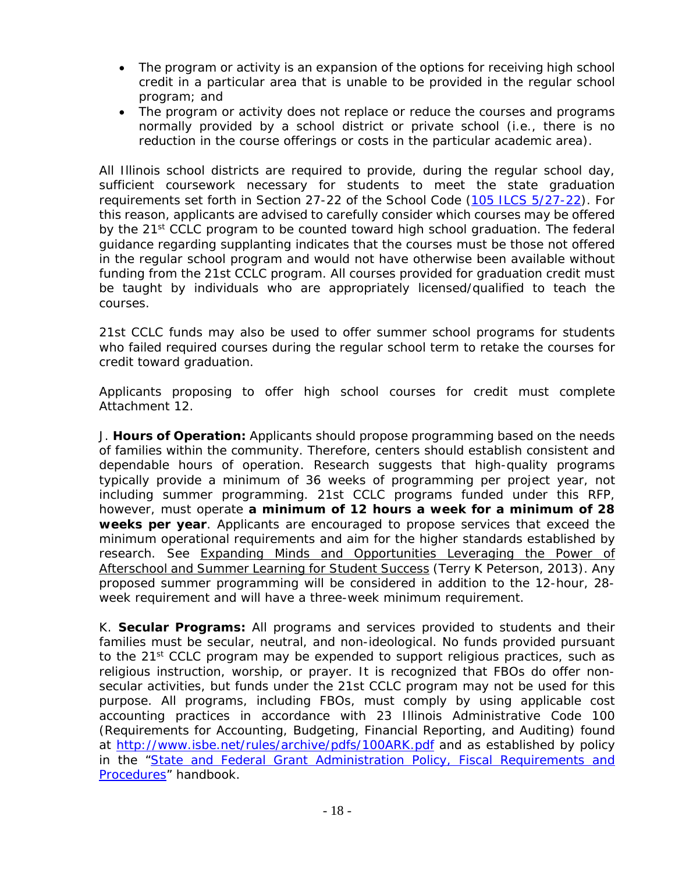- The program or activity is an expansion of the options for receiving high school credit in a particular area that is unable to be provided in the regular school program; and
- The program or activity does not replace or reduce the courses and programs normally provided by a school district or private school (i.e., there is no reduction in the course offerings or costs in the particular academic area).

All Illinois school districts are required to provide, during the regular school day, sufficient coursework necessary for students to meet the state graduation requirements set forth in Section 27-22 of the School Code (105 ILCS 5/27-22). For this reason, applicants are advised to carefully consider which courses may be offered by the 21<sup>st</sup> CCLC program to be counted toward high school graduation. The federal guidance regarding supplanting indicates that the courses must be those not offered in the regular school program and would not have otherwise been available without funding from the 21st CCLC program. All courses provided for graduation credit must be taught by individuals who are appropriately licensed/qualified to teach the courses.

21st CCLC funds may also be used to offer summer school programs for students who failed required courses during the regular school term to retake the courses for credit toward graduation.

Applicants proposing to offer high school courses for credit must complete Attachment 12.

J. **Hours of Operation:** Applicants should propose programming based on the needs of families within the community. Therefore, centers should establish consistent and dependable hours of operation. Research suggests that high-quality programs typically provide a minimum of 36 weeks of programming per project year, not including summer programming. 21st CCLC programs funded under this RFP, however, must operate **a minimum of 12 hours a week for a minimum of 28 weeks per year**. Applicants are encouraged to propose services that exceed the minimum operational requirements and aim for the higher standards established by research. See Expanding Minds and Opportunities Leveraging the Power of Afterschool and Summer Learning for Student Success (Terry K Peterson, 2013). Any proposed summer programming will be considered in addition to the 12-hour, 28 week requirement and will have a three-week minimum requirement.

K. **Secular Programs:** All programs and services provided to students and their families must be secular, neutral, and non-ideological. No funds provided pursuant to the 21<sup>st</sup> CCLC program may be expended to support religious practices, such as religious instruction, worship, or prayer. It is recognized that FBOs do offer nonsecular activities, but funds under the 21st CCLC program may not be used for this purpose. All programs, including FBOs, must comply by using applicable cost accounting practices in accordance with 23 Illinois Administrative Code 100 (Requirements for Accounting, Budgeting, Financial Reporting, and Auditing) found at http://www.isbe.net/rules/archive/pdfs/100ARK.pdf and as established by policy in the "State and Federal Grant Administration Policy, Fiscal Requirements and Procedures*"* handbook.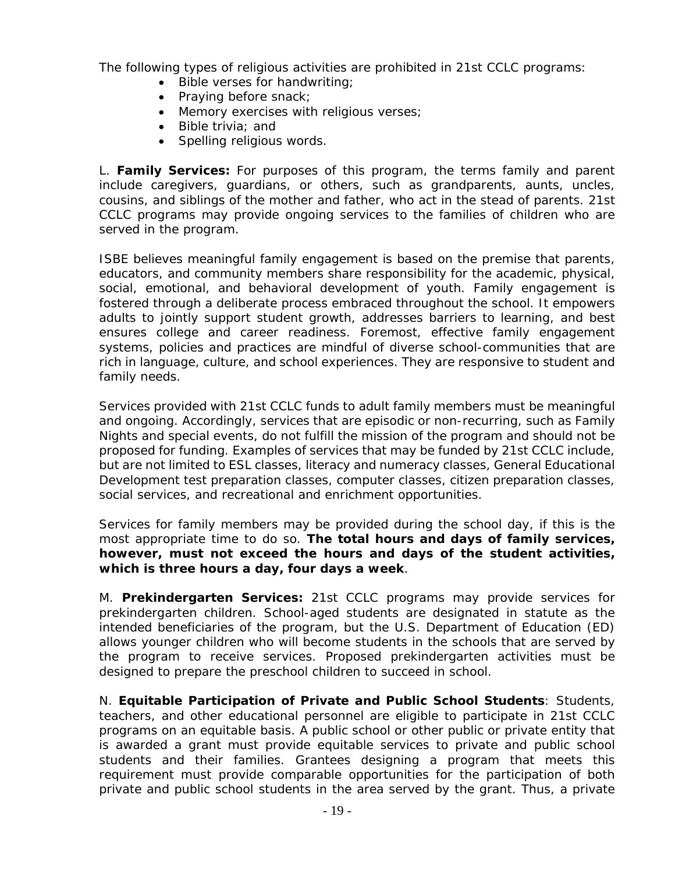The following types of religious activities are prohibited in 21st CCLC programs:

- Bible verses for handwriting;
- Praying before snack;
- Memory exercises with religious verses;
- Bible trivia; and
- Spelling religious words.

L. **Family Services:** For purposes of this program, the terms *family* and *parent*  include caregivers, guardians, or others, such as grandparents, aunts, uncles, cousins, and siblings of the mother and father, who act in the stead of parents. 21st CCLC programs may provide ongoing services to the families of children who are served in the program.

ISBE believes meaningful family engagement is based on the premise that parents, educators, and community members share responsibility for the academic, physical, social, emotional, and behavioral development of youth. Family engagement is fostered through a deliberate process embraced throughout the school. It empowers adults to jointly support student growth, addresses barriers to learning, and best ensures college and career readiness. Foremost, effective family engagement systems, policies and practices are mindful of diverse school-communities that are rich in language, culture, and school experiences. They are responsive to student and family needs.

Services provided with 21st CCLC funds to adult family members must be meaningful and ongoing. Accordingly, services that are episodic or non-recurring, such as Family Nights and special events*,* do not fulfill the mission of the program and should not be proposed for funding. Examples of services that may be funded by 21st CCLC include, but are not limited to ESL classes, literacy and numeracy classes, General Educational Development test preparation classes, computer classes, citizen preparation classes, social services, and recreational and enrichment opportunities.

Services for family members may be provided during the school day, if this is the most appropriate time to do so. *The total hours and days of family services, however, must not exceed the hours and days of the student activities, which is three hours a day, four days a week*.

M. **Prekindergarten Services:** 21st CCLC programs may provide services for prekindergarten children. School-aged students are designated in statute as the intended beneficiaries of the program, but the U.S. Department of Education (ED) allows younger children who will become students in the schools that are served by the program to receive services. Proposed prekindergarten activities must be designed to prepare the preschool children to succeed in school.

N. **Equitable Participation of Private and Public School Students**: Students, teachers, and other educational personnel are eligible to participate in 21st CCLC programs on an equitable basis. A public school or other public or private entity that is awarded a grant must provide equitable services to private and public school students and their families. Grantees designing a program that meets this requirement must provide comparable opportunities for the participation of both private and public school students in the area served by the grant. Thus, a private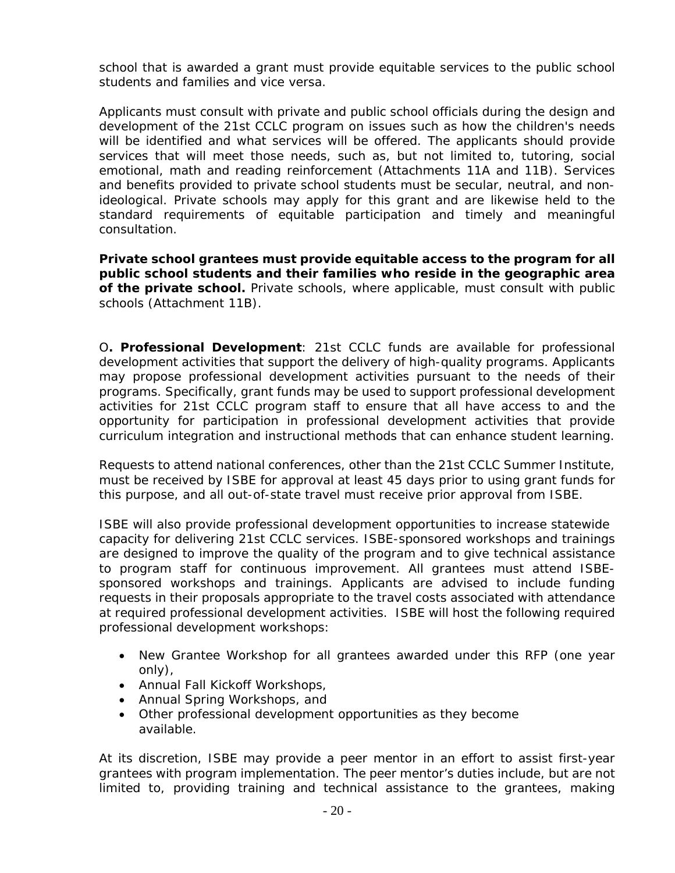school that is awarded a grant must provide equitable services to the public school students and families and vice versa.

Applicants must consult with private and public school officials during the design and development of the 21st CCLC program on issues such as how the children's needs will be identified and what services will be offered. The applicants should provide services that will meet those needs, such as, but not limited to, tutoring, social emotional, math and reading reinforcement (Attachments 11A and 11B). Services and benefits provided to private school students must be secular, neutral, and nonideological. Private schools may apply for this grant and are likewise held to the standard requirements of equitable participation and timely and meaningful consultation.

*Private school grantees must provide equitable access to the program for all public school students and their families who reside in the geographic area of the private school.* Private schools, where applicable, must consult with public schools (Attachment 11B).

O**. Professional Development**: 21st CCLC funds are available for professional development activities that support the delivery of high-quality programs. Applicants may propose professional development activities pursuant to the needs of their programs. Specifically, grant funds may be used to support professional development activities for 21st CCLC program staff to ensure that all have access to and the opportunity for participation in professional development activities that provide curriculum integration and instructional methods that can enhance student learning.

Requests to attend national conferences, other than the 21st CCLC Summer Institute, must be received by ISBE for approval at least 45 days prior to using grant funds for this purpose, and all out-of-state travel must receive prior approval from ISBE.

ISBE will also provide professional development opportunities to increase statewide capacity for delivering 21st CCLC services. ISBE-sponsored workshops and trainings are designed to improve the quality of the program and to give technical assistance to program staff for continuous improvement. All grantees must attend ISBEsponsored workshops and trainings. Applicants are advised to include funding requests in their proposals appropriate to the travel costs associated with attendance at required professional development activities. ISBE will host the following required professional development workshops:

- *New Grantee Workshop* for all grantees awarded under this RFP (one year only),
- Annual *Fall Kickoff Workshops*,
- Annual *Spring Workshops*, and
- Other professional development opportunities as they become available.

At its discretion, ISBE may provide a peer mentor in an effort to assist first-year grantees with program implementation. The peer mentor's duties include, but are not limited to, providing training and technical assistance to the grantees, making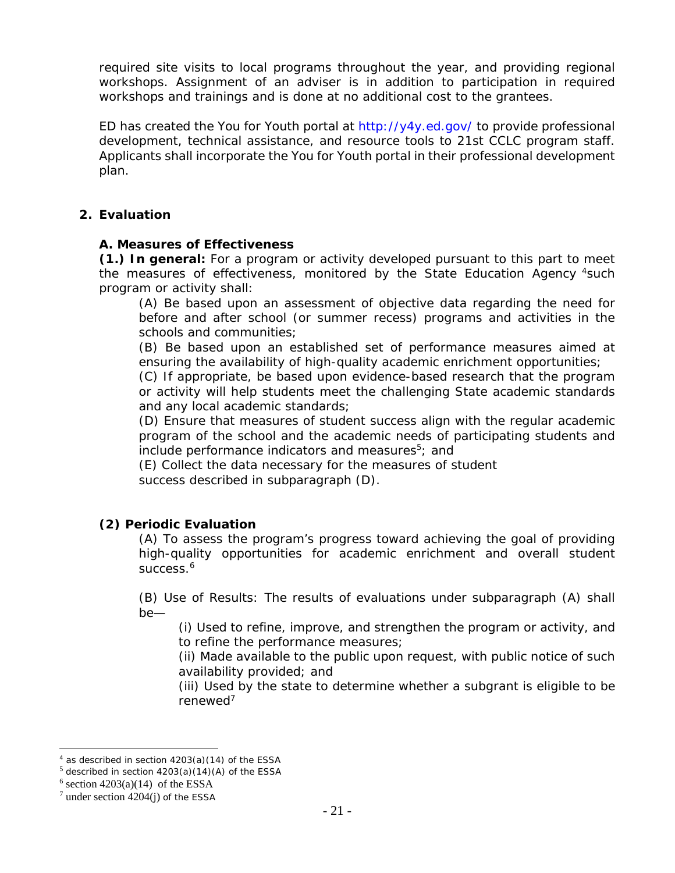required site visits to local programs throughout the year, and providing regional workshops. Assignment of an adviser is in addition to participation in required workshops and trainings and is done at no additional cost to the grantees.

ED has created the *You for Youth* portal at http://y4y.ed.gov/ to provide professional development, technical assistance, and resource tools to 21st CCLC program staff. Applicants shall incorporate the *You for Youth* portal in their professional development plan.

#### **2. Evaluation**

#### **A. Measures of Effectiveness**

**(1.) In general:** For a program or activity developed pursuant to this part to meet the measures of effectiveness, monitored by the State Education Agency <sup>4</sup>such program or activity shall:

(A) Be based upon an assessment of objective data regarding the need for before and after school (or summer recess) programs and activities in the schools and communities;

(B) Be based upon an established set of performance measures aimed at ensuring the availability of high-quality academic enrichment opportunities;

(C) If appropriate, be based upon evidence-based research that the program or activity will help students meet the challenging State academic standards and any local academic standards;

(D) Ensure that measures of student success align with the regular academic program of the school and the academic needs of participating students and include performance indicators and measures<sup>5</sup>; and

(E) Collect the data necessary for the measures of student success described in subparagraph (D).

#### **(2) Periodic Evaluation**

(A) To assess the program's progress toward achieving the goal of providing high-quality opportunities for academic enrichment and overall student success.<sup>6</sup>

(B) Use of Results: The results of evaluations under subparagraph (A) shall be—

(i) Used to refine, improve, and strengthen the program or activity, and to refine the performance measures;

(ii) Made available to the public upon request, with public notice of such availability provided; and

(iii) Used by the state to determine whether a subgrant is eligible to be renewed7

 $\overline{a}$ 

<sup>4</sup> as described in section 4203(a)(14) of the ESSA

 $5$  described in section  $4203(a)(14)(A)$  of the ESSA

 $6$  section 4203(a)(14) of the ESSA

 $7$  under section  $4204(j)$  of the ESSA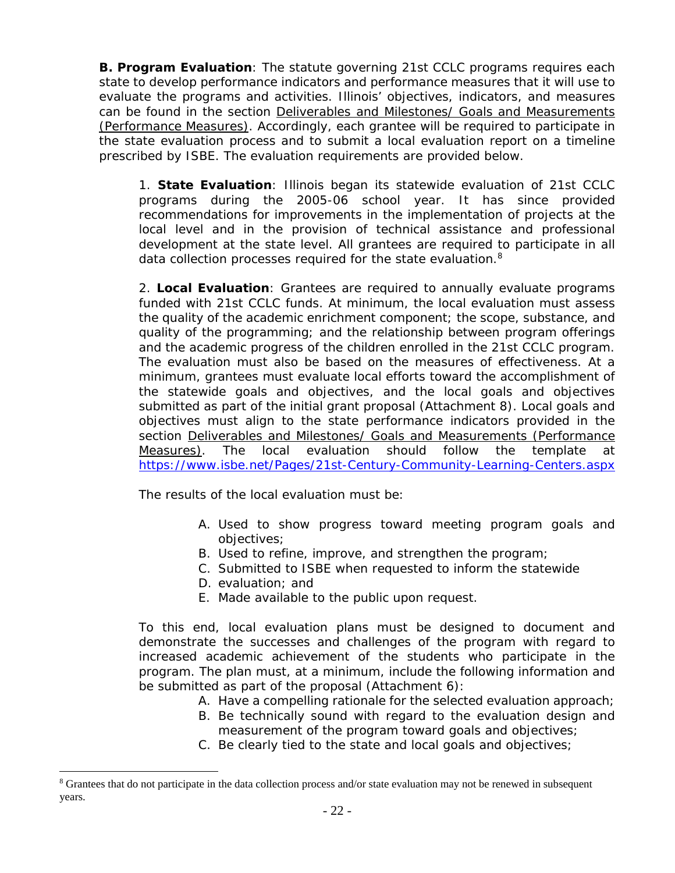**B. Program Evaluation**: The statute governing 21st CCLC programs requires each state to develop performance indicators and performance measures that it will use to evaluate the programs and activities. Illinois' objectives, indicators, and measures can be found in the section Deliverables and Milestones/ Goals and Measurements (Performance Measures). Accordingly, each grantee will be required to participate in the state evaluation process and to submit a local evaluation report on a timeline prescribed by ISBE. The evaluation requirements are provided below.

1. **State Evaluation**: Illinois began its statewide evaluation of 21st CCLC programs during the 2005-06 school year. It has since provided recommendations for improvements in the implementation of projects at the local level and in the provision of technical assistance and professional development at the state level. All grantees are required to participate in all data collection processes required for the state evaluation.<sup>8</sup>

2. **Local Evaluation**: Grantees are required to annually evaluate programs funded with 21st CCLC funds. At minimum, the local evaluation must assess the quality of the academic enrichment component; the scope, substance, and quality of the programming; and the relationship between program offerings and the academic progress of the children enrolled in the 21st CCLC program. The evaluation must also be based on the *measures of effectiveness*. At a minimum, grantees must evaluate local efforts toward the accomplishment of the statewide goals and objectives, and the local goals and objectives submitted as part of the initial grant proposal (Attachment 8). Local goals and objectives must align to the state performance indicators provided in the section Deliverables and Milestones/ Goals and Measurements (Performance Measures). The local evaluation should follow the template at https://www.isbe.net/Pages/21st-Century-Community-Learning-Centers.aspx

The results of the local evaluation must be:

- A. Used to show progress toward meeting program goals and objectives;
- B. Used to refine, improve, and strengthen the program;
- C. Submitted to ISBE when requested to inform the statewide
- D. evaluation; and

 $\overline{a}$ 

E. Made available to the public upon request.

To this end, local evaluation plans must be designed to document and demonstrate the successes and challenges of the program with regard to increased academic achievement of the students who participate in the program. The plan must, at a minimum, include the following information and be submitted as part of the proposal (Attachment 6):

- A. Have a compelling rationale for the selected evaluation approach;
- B. Be technically sound with regard to the evaluation design and measurement of the program toward goals and objectives;
- C. Be clearly tied to the state and local goals and objectives;

<sup>&</sup>lt;sup>8</sup> Grantees that do not participate in the data collection process and/or state evaluation may not be renewed in subsequent years.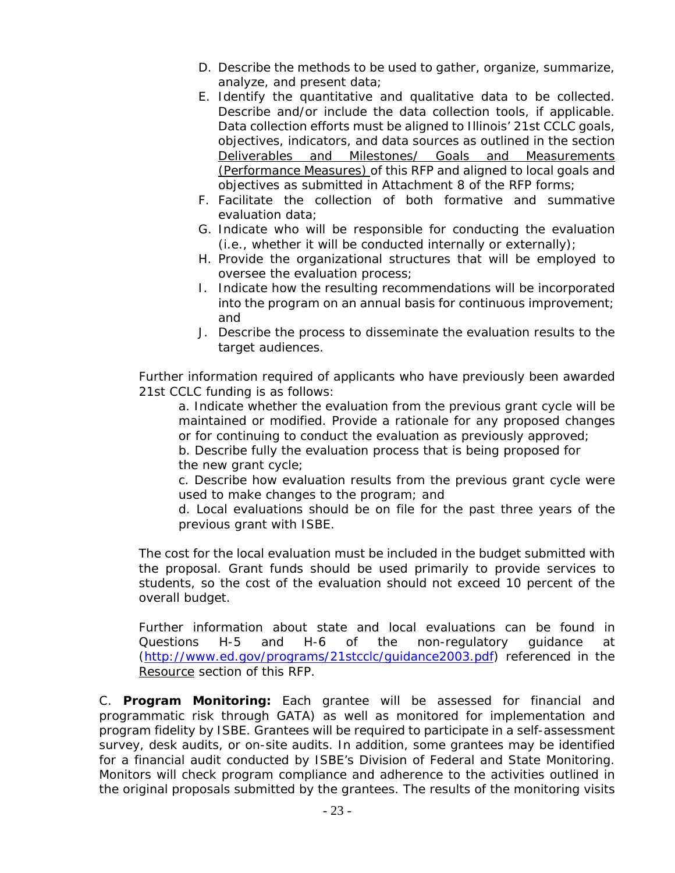- D. Describe the methods to be used to gather, organize, summarize, analyze, and present data;
- E. Identify the quantitative and qualitative data to be collected. Describe and/or include the data collection tools, if applicable. Data collection efforts must be aligned to Illinois' 21st CCLC goals, objectives, indicators, and data sources as outlined in the section Deliverables and Milestones/ Goals and Measurements (Performance Measures) of this RFP and aligned to local goals and objectives as submitted in Attachment 8 of the RFP forms;
- F. Facilitate the collection of both formative and summative evaluation data;
- G. Indicate who will be responsible for conducting the evaluation (i.e., whether it will be conducted internally or externally);
- H. Provide the organizational structures that will be employed to oversee the evaluation process;
- I. Indicate how the resulting recommendations will be incorporated into the program on an annual basis for continuous improvement; and
- J. Describe the process to disseminate the evaluation results to the target audiences.

Further information required of applicants who have previously been awarded 21st CCLC funding is as follows:

a. Indicate whether the evaluation from the previous grant cycle will be maintained or modified. Provide a rationale for any proposed changes or for continuing to conduct the evaluation as previously approved;

b. Describe fully the evaluation process that is being proposed for the new grant cycle;

c. Describe how evaluation results from the previous grant cycle were used to make changes to the program; and

d. Local evaluations should be on file for the past three years of the previous grant with ISBE.

The cost for the local evaluation must be included in the budget submitted with the proposal. Grant funds should be used primarily to provide services to students, so the cost of the evaluation should not exceed 10 percent of the overall budget.

Further information about state and local evaluations can be found in Questions H-5 and H-6 of the non-regulatory guidance at (http://www.ed.gov/programs/21stcclc/guidance2003.pdf) referenced in the Resource section of this RFP.

C. **Program Monitoring:** Each grantee will be assessed for financial and programmatic risk through GATA) as well as monitored for implementation and program fidelity by ISBE. Grantees will be required to participate in a self-assessment survey, desk audits, or on-site audits. In addition, some grantees may be identified for a financial audit conducted by ISBE's Division of Federal and State Monitoring. Monitors will check program compliance and adherence to the activities outlined in the original proposals submitted by the grantees. The results of the monitoring visits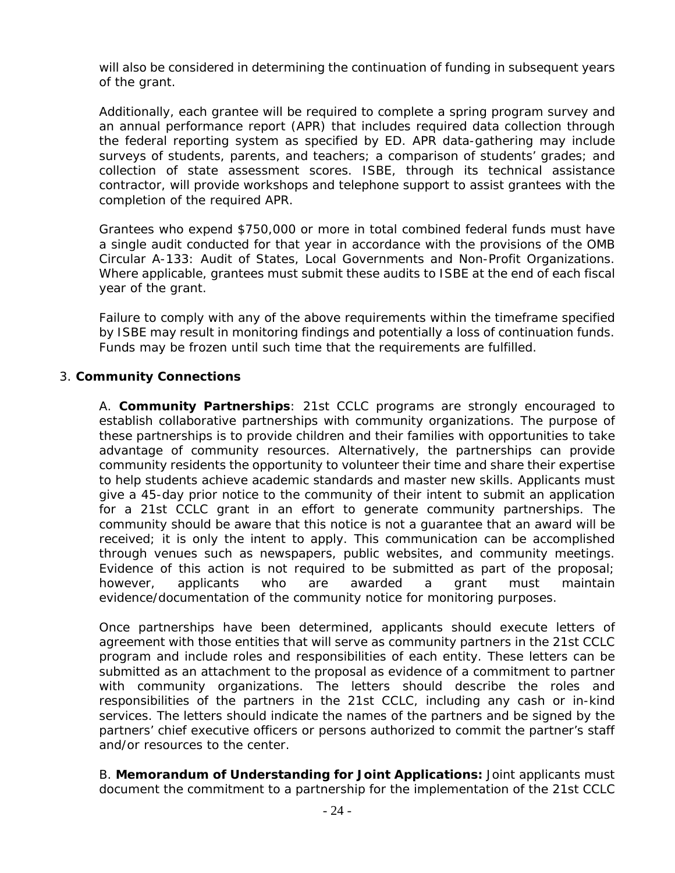will also be considered in determining the continuation of funding in subsequent years of the grant.

Additionally, each grantee will be required to complete a spring program survey and an annual performance report (APR) that includes required data collection through the federal reporting system as specified by ED. APR data-gathering may include surveys of students, parents, and teachers; a comparison of students' grades; and collection of state assessment scores. ISBE, through its technical assistance contractor, will provide workshops and telephone support to assist grantees with the completion of the required APR.

Grantees who expend \$750,000 or more in total combined federal funds must have a single audit conducted for that year in accordance with the provisions of the OMB Circular A-133: Audit of States, Local Governments and Non-Profit Organizations. Where applicable, grantees must submit these audits to ISBE at the end of each fiscal year of the grant.

Failure to comply with any of the above requirements within the timeframe specified by ISBE may result in monitoring findings and potentially a loss of continuation funds. Funds may be frozen until such time that the requirements are fulfilled.

#### 3. **Community Connections**

A. **Community Partnerships**: 21st CCLC programs are strongly encouraged to establish collaborative partnerships with community organizations. The purpose of these partnerships is to provide children and their families with opportunities to take advantage of community resources. Alternatively, the partnerships can provide community residents the opportunity to volunteer their time and share their expertise to help students achieve academic standards and master new skills. Applicants must give a 45-day prior notice to the community of their intent to submit an application for a 21st CCLC grant in an effort to generate community partnerships. The community should be aware that this notice is not a guarantee that an award will be received; it is only the intent to apply. This communication can be accomplished through venues such as newspapers, public websites, and community meetings. Evidence of this action is not required to be submitted as part of the proposal; however, applicants who are awarded a grant must maintain evidence/documentation of the community notice for monitoring purposes.

Once partnerships have been determined, applicants should execute letters of agreement with those entities that will serve as community partners in the 21st CCLC program and include roles and responsibilities of each entity. These letters can be submitted as an attachment to the proposal as evidence of a commitment to partner with community organizations. The letters should describe the roles and responsibilities of the partners in the 21st CCLC, including any cash or in-kind services. The letters should indicate the names of the partners and be signed by the partners' chief executive officers or persons authorized to commit the partner's staff and/or resources to the center.

B. **Memorandum of Understanding for Joint Applications:** Joint applicants must document the commitment to a partnership for the implementation of the 21st CCLC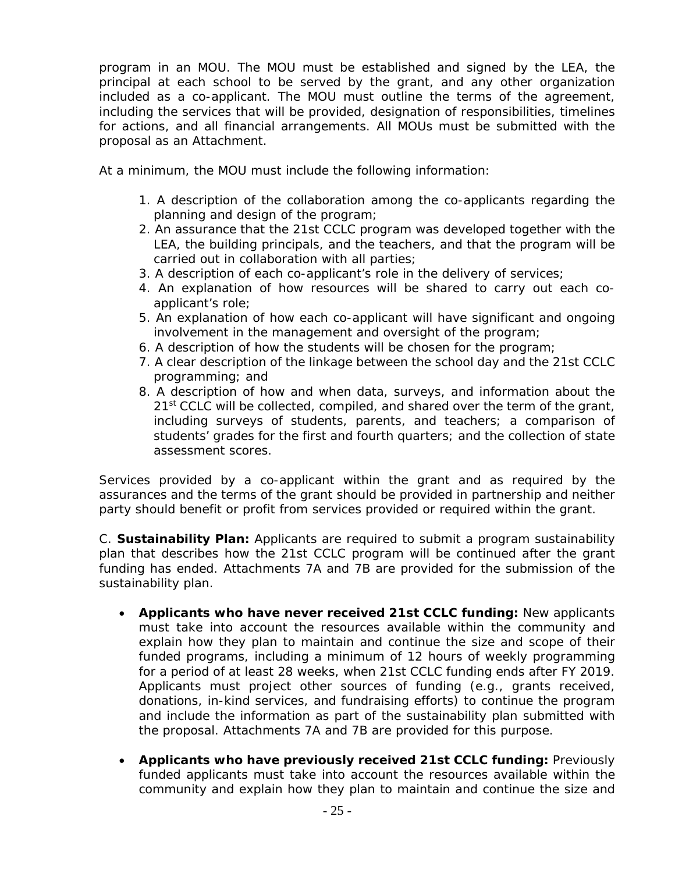program in an MOU. The MOU must be established and signed by the LEA, the principal at each school to be served by the grant, and any other organization included as a co-applicant. The MOU must outline the terms of the agreement, including the services that will be provided, designation of responsibilities, timelines for actions, and all financial arrangements. All MOUs must be submitted with the proposal as an Attachment.

At a minimum, the MOU must include the following information:

- 1. A description of the collaboration among the co-applicants regarding the planning and design of the program;
- 2. An assurance that the 21st CCLC program was developed together with the LEA, the building principals, and the teachers, and that the program will be carried out in collaboration with all parties;
- 3. A description of each co-applicant's role in the delivery of services;
- 4. An explanation of how resources will be shared to carry out each coapplicant's role;
- 5. An explanation of how each co-applicant will have significant and ongoing involvement in the management and oversight of the program;
- 6. A description of how the students will be chosen for the program;
- 7. A clear description of the linkage between the school day and the 21st CCLC programming; and
- 8. A description of how and when data, surveys, and information about the 21<sup>st</sup> CCLC will be collected, compiled, and shared over the term of the grant, including surveys of students, parents, and teachers; a comparison of students' grades for the first and fourth quarters; and the collection of state assessment scores.

Services provided by a co-applicant within the grant and as required by the assurances and the terms of the grant should be provided in partnership and neither party should benefit or profit from services provided or required within the grant.

C. **Sustainability Plan:** Applicants are required to submit a program sustainability plan that describes how the 21st CCLC program will be continued after the grant funding has ended. Attachments 7A and 7B are provided for the submission of the sustainability plan.

- **Applicants who have never received 21st CCLC funding:** New applicants must take into account the resources available within the community and explain how they plan to maintain and continue the size and scope of their funded programs, including a minimum of 12 hours of weekly programming for a period of at least 28 weeks, when 21st CCLC funding ends after FY 2019. Applicants must project other sources of funding (e.g., grants received, donations, in-kind services, and fundraising efforts) to continue the program and include the information as part of the sustainability plan submitted with the proposal. Attachments 7A and 7B are provided for this purpose.
- **Applicants who have previously received 21st CCLC funding:** Previously funded applicants must take into account the resources available within the community and explain how they plan to maintain and continue the size and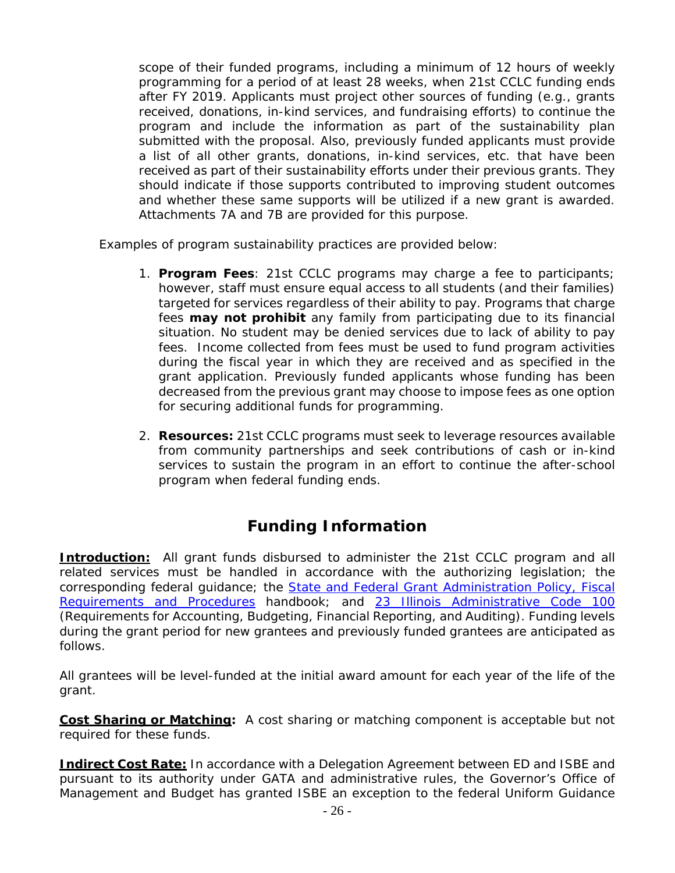scope of their funded programs, including a minimum of 12 hours of weekly programming for a period of at least 28 weeks, when 21st CCLC funding ends after FY 2019. Applicants must project other sources of funding (e.g., grants received, donations, in-kind services, and fundraising efforts) to continue the program and include the information as part of the sustainability plan submitted with the proposal. Also, previously funded applicants must provide a list of all other grants, donations, in-kind services, etc. that have been received as part of their sustainability efforts under their previous grants. They should indicate if those supports contributed to improving student outcomes and whether these same supports will be utilized if a new grant is awarded. Attachments 7A and 7B are provided for this purpose.

Examples of program sustainability practices are provided below:

- 1. **Program Fees**: 21st CCLC programs may charge a fee to participants; however, staff must ensure equal access to all students (and their families) targeted for services regardless of their ability to pay. Programs that charge fees **may not prohibit** any family from participating due to its financial situation. No student may be denied services due to lack of ability to pay fees. Income collected from fees must be used to fund program activities during the fiscal year in which they are received and as specified in the grant application. Previously funded applicants whose funding has been decreased from the previous grant may choose to impose fees as one option for securing additional funds for programming.
- 2. **Resources:** 21st CCLC programs must seek to leverage resources available from community partnerships and seek contributions of cash or in-kind services to sustain the program in an effort to continue the after-school program when federal funding ends.

# **Funding Information**

**Introduction:** All grant funds disbursed to administer the 21st CCLC program and all related services must be handled in accordance with the authorizing legislation; the corresponding federal guidance; the State and Federal Grant Administration Policy, Fiscal Requirements and Procedures handbook; and 23 Illinois Administrative Code 100 (Requirements for Accounting, Budgeting, Financial Reporting, and Auditing). Funding levels during the grant period for new grantees and previously funded grantees are anticipated as follows.

All grantees will be level-funded at the initial award amount for each year of the life of the grant.

**Cost Sharing or Matching:** A cost sharing or matching component is acceptable but not required for these funds.

**Indirect Cost Rate:** In accordance with a Delegation Agreement between ED and ISBE and pursuant to its authority under GATA and administrative rules, the Governor's Office of Management and Budget has granted ISBE an exception to the federal Uniform Guidance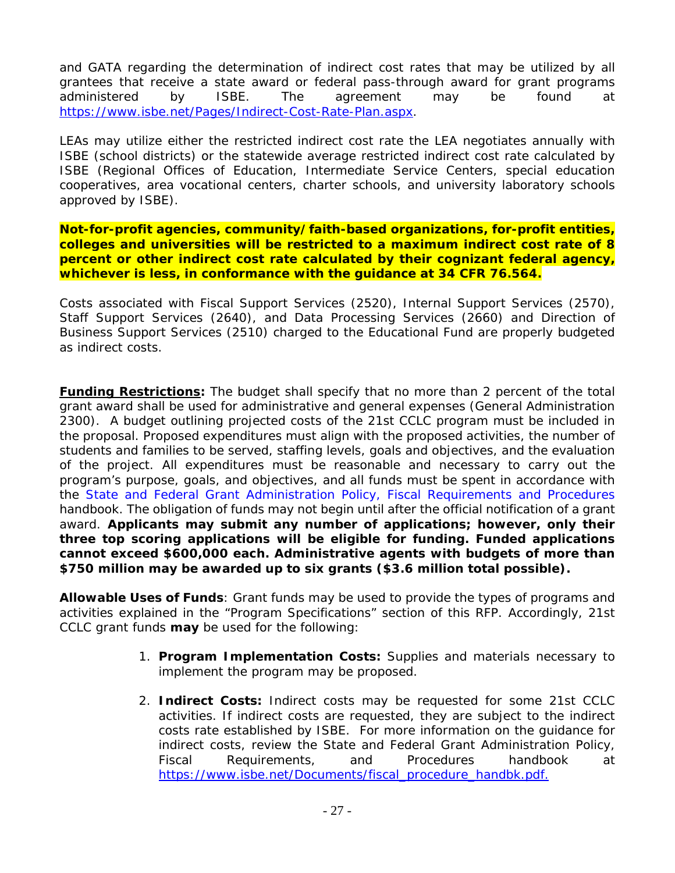and GATA regarding the determination of indirect cost rates that may be utilized by all grantees that receive a state award or federal pass-through award for grant programs administered by ISBE. The agreement may be found at https://www.isbe.net/Pages/Indirect-Cost-Rate-Plan.aspx.

LEAs may utilize either the restricted indirect cost rate the LEA negotiates annually with ISBE (school districts) or the statewide average restricted indirect cost rate calculated by ISBE (Regional Offices of Education, Intermediate Service Centers, special education cooperatives, area vocational centers, charter schools, and university laboratory schools approved by ISBE).

**Not-for-profit agencies, community/faith-based organizations, for-profit entities, colleges and universities will be restricted to a maximum indirect cost rate of 8 percent or other indirect cost rate calculated by their cognizant federal agency, whichever is less, in conformance with the guidance at 34 CFR 76.564.** 

Costs associated with Fiscal Support Services (2520), Internal Support Services (2570), Staff Support Services (2640), and Data Processing Services (2660) and Direction of Business Support Services (2510) charged to the Educational Fund are properly budgeted as indirect costs.

**Funding Restrictions:** The budget shall specify that no more than 2 percent of the total grant award shall be used for administrative and general expenses (General Administration 2300). A budget outlining projected costs of the 21st CCLC program must be included in the proposal. Proposed expenditures must align with the proposed activities, the number of students and families to be served, staffing levels, goals and objectives, and the evaluation of the project. All expenditures must be reasonable and necessary to carry out the program's purpose, goals, and objectives, and all funds must be spent in accordance with the State and Federal Grant Administration Policy, Fiscal Requirements and Procedures handbook. The obligation of funds may not begin until after the official notification of a grant award. **Applicants may submit any number of applications; however, only their three top scoring applications will be eligible for funding. Funded applications cannot exceed \$600,000 each. Administrative agents with budgets of more than \$750 million may be awarded up to six grants (\$3.6 million total possible).** 

**Allowable Uses of Funds**: Grant funds may be used to provide the types of programs and activities explained in the "Program Specifications*"* section of this RFP. Accordingly, 21st CCLC grant funds **may** be used for the following:

- 1. **Program Implementation Costs:** Supplies and materials necessary to implement the program may be proposed.
- 2. **Indirect Costs:** Indirect costs may be requested for some 21st CCLC activities. If indirect costs are requested, they are subject to the indirect costs rate established by ISBE. For more information on the guidance for indirect costs, review the State and Federal Grant Administration Policy, Fiscal Requirements, and Procedures handbook at https://www.isbe.net/Documents/fiscal\_procedure\_handbk.pdf.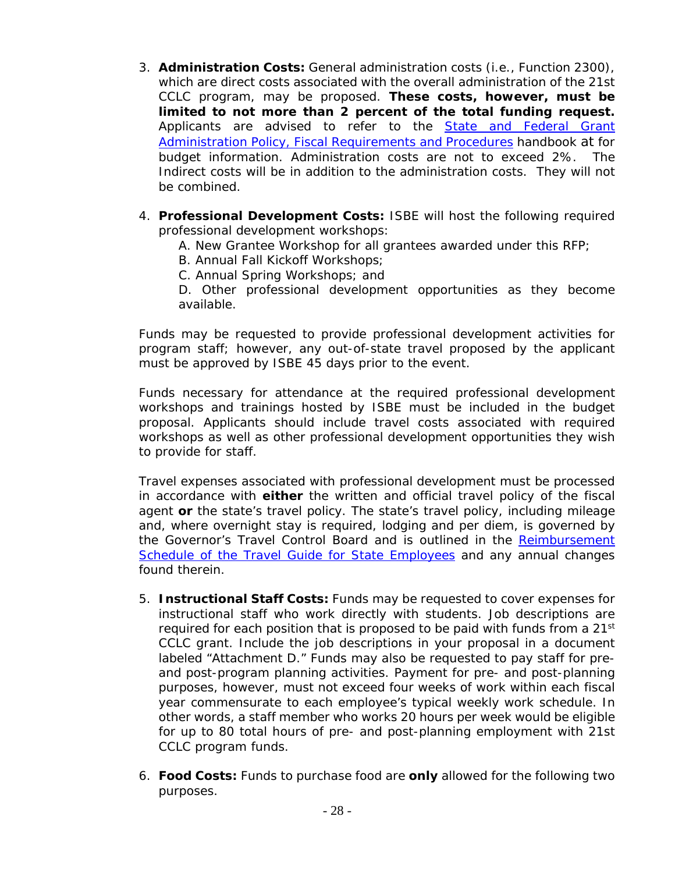- 3. **Administration Costs:** General administration costs (i.e., Function 2300), which are direct costs associated with the overall administration of the 21st CCLC program, may be proposed. **These costs, however, must be limited to not more than 2 percent of the total funding request.** Applicants are advised to refer to the **State and Federal Grant** Administration Policy, Fiscal Requirements and Procedures handbook at for budget information. Administration costs are not to exceed 2%. The Indirect costs will be in addition to the administration costs. They will not be combined.
- 4. **Professional Development Costs:** ISBE will host the following required professional development workshops:
	- A. *New Grantee Workshop* for all grantees awarded under this RFP;
	- B. *Annual Fall Kickoff Workshops*;
	- C. *Annual Spring Workshops*; and

D. Other professional development opportunities as they become available.

Funds may be requested to provide professional development activities for program staff; however, any out-of-state travel proposed by the applicant must be approved by ISBE 45 days prior to the event.

Funds necessary for attendance at the required professional development workshops and trainings hosted by ISBE must be included in the budget proposal. Applicants should include travel costs associated with required workshops as well as other professional development opportunities they wish to provide for staff.

Travel expenses associated with professional development must be processed in accordance with **either** the written and official travel policy of the fiscal agent **or** the state's travel policy. The state's travel policy, including mileage and, where overnight stay is required, lodging and per diem, is governed by the Governor's Travel Control Board and is outlined in the *Reimbursement Schedule of the Travel Guide for State Employees* and any annual changes found therein.

- 5. **Instructional Staff Costs:** Funds may be requested to cover expenses for instructional staff who work directly with students. Job descriptions are required for each position that is proposed to be paid with funds from a  $21^{st}$ CCLC grant. Include the job descriptions in your proposal in a document labeled "Attachment D." Funds may also be requested to pay staff for preand post-program planning activities. Payment for pre- and post-planning purposes, however, must not exceed four weeks of work within each fiscal year commensurate to each employee's typical weekly work schedule. In other words, a staff member who works 20 hours per week would be eligible for up to 80 total hours of pre- and post-planning employment with 21st CCLC program funds.
- 6. **Food Costs:** Funds to purchase food are **only** allowed for the following two purposes.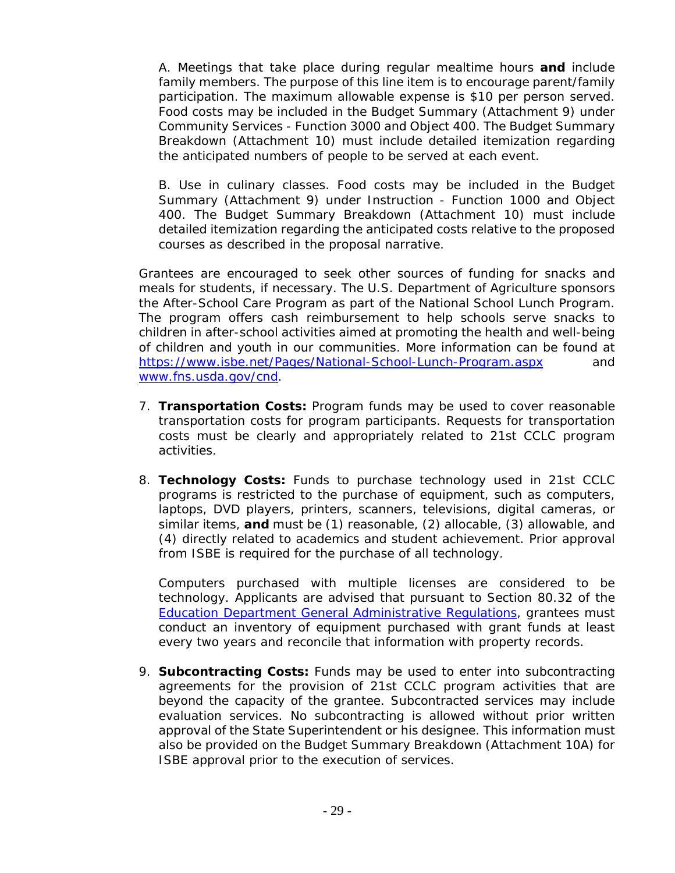A. Meetings that take place during regular mealtime hours **and** include family members. The purpose of this line item is to encourage parent/family participation. The maximum allowable expense is \$10 per person served. Food costs may be included in the Budget Summary (Attachment 9) under Community Services - Function 3000 and Object 400. The Budget Summary Breakdown (Attachment 10) must include detailed itemization regarding the anticipated numbers of people to be served at each event.

B. Use in culinary classes. Food costs may be included in the Budget Summary (Attachment 9) under Instruction - Function 1000 and Object 400. The Budget Summary Breakdown (Attachment 10) must include detailed itemization regarding the anticipated costs relative to the proposed courses as described in the proposal narrative.

Grantees are encouraged to seek other sources of funding for snacks and meals for students, if necessary. The U.S. Department of Agriculture sponsors the After-School Care Program as part of the National School Lunch Program. The program offers cash reimbursement to help schools serve snacks to children in after-school activities aimed at promoting the health and well-being of children and youth in our communities. More information can be found at https://www.isbe.net/Pages/National-School-Lunch-Program.aspx and www.fns.usda.gov/cnd.

- 7. **Transportation Costs:** Program funds may be used to cover reasonable transportation costs for program participants. Requests for transportation costs must be clearly and appropriately related to 21st CCLC program activities.
- 8. **Technology Costs:** Funds to purchase technology used in 21st CCLC programs is restricted to the purchase of equipment, such as computers, laptops, DVD players, printers, scanners, televisions, digital cameras, or similar items, **and** must be (1) reasonable, (2) allocable, (3) allowable, and (4) directly related to academics and student achievement. Prior approval from ISBE is required for the purchase of all technology.

Computers purchased with multiple licenses are considered to be technology. Applicants are advised that pursuant to Section 80.32 of the Education Department General Administrative Regulations, grantees must conduct an inventory of equipment purchased with grant funds at least every two years and reconcile that information with property records.

9. **Subcontracting Costs:** Funds may be used to enter into subcontracting agreements for the provision of 21st CCLC program activities that are beyond the capacity of the grantee. Subcontracted services may include evaluation services. No subcontracting is allowed without prior written approval of the State Superintendent or his designee. This information must also be provided on the Budget Summary Breakdown (Attachment 10A) for ISBE approval prior to the execution of services.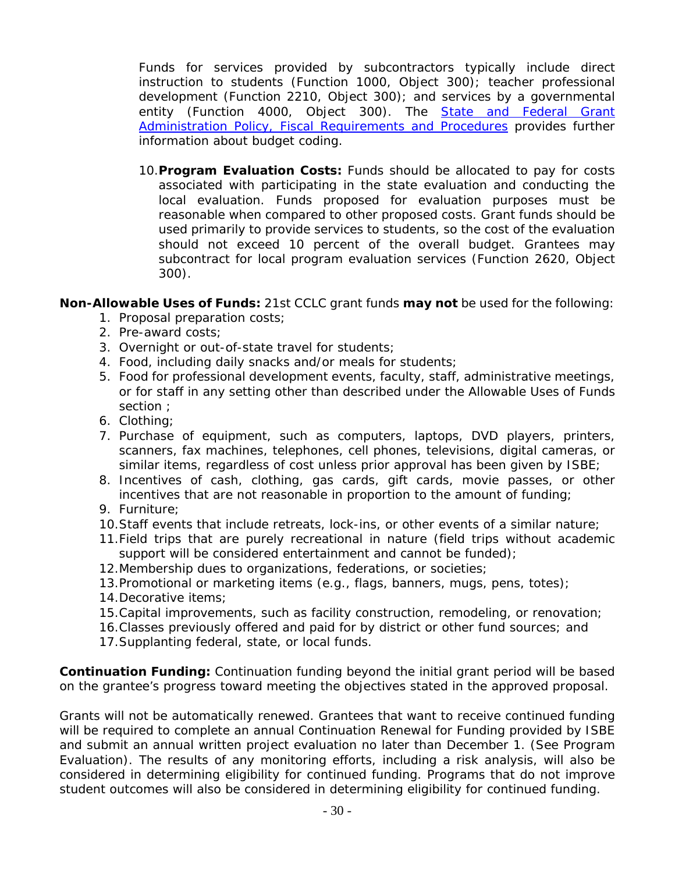Funds for services provided by subcontractors typically include direct instruction to students (Function 1000, Object 300); teacher professional development (Function 2210, Object 300); and services by a governmental entity (Function 4000, Object 300). The **State and Federal Grant** Administration Policy, Fiscal Requirements and Procedures provides further information about budget coding.

10.**Program Evaluation Costs:** Funds should be allocated to pay for costs associated with participating in the state evaluation and conducting the local evaluation. Funds proposed for evaluation purposes must be reasonable when compared to other proposed costs. Grant funds should be used primarily to provide services to students, so the cost of the evaluation should not exceed 10 percent of the overall budget. Grantees may subcontract for local program evaluation services (Function 2620, Object 300).

**Non-Allowable Uses of Funds:** 21st CCLC grant funds **may not** be used for the following:

- 1. Proposal preparation costs;
- 2. Pre-award costs;
- 3. Overnight or out-of-state travel for students;
- 4. Food, including daily snacks and/or meals for students;
- 5. Food for professional development events, faculty, staff, administrative meetings, or for staff in any setting other than described under the Allowable Uses of Funds section ;
- 6. Clothing;
- 7. Purchase of equipment, such as computers, laptops, DVD players, printers, scanners, fax machines, telephones, cell phones, televisions, digital cameras, or similar items, regardless of cost unless prior approval has been given by ISBE;
- 8. Incentives of cash, clothing, gas cards, gift cards, movie passes, or other incentives that are not reasonable in proportion to the amount of funding;
- 9. Furniture;
- 10.Staff events that include retreats, lock-ins, or other events of a similar nature;
- 11.Field trips that are purely recreational in nature (field trips without academic support will be considered entertainment and cannot be funded);
- 12.Membership dues to organizations, federations, or societies;
- 13.Promotional or marketing items (e.g., flags, banners, mugs, pens, totes);
- 14.Decorative items;
- 15.Capital improvements, such as facility construction, remodeling, or renovation;
- 16.Classes previously offered and paid for by district or other fund sources; and
- 17.Supplanting federal, state, or local funds.

**Continuation Funding:** Continuation funding beyond the initial grant period will be based on the grantee's progress toward meeting the objectives stated in the approved proposal.

Grants will not be automatically renewed. Grantees that want to receive continued funding will be required to complete an annual *Continuation Renewal for Funding* provided by ISBE and submit an annual written project evaluation no later than December 1. (See Program Evaluation). The results of any monitoring efforts, including a risk analysis, will also be considered in determining eligibility for continued funding. Programs that do not improve student outcomes will also be considered in determining eligibility for continued funding.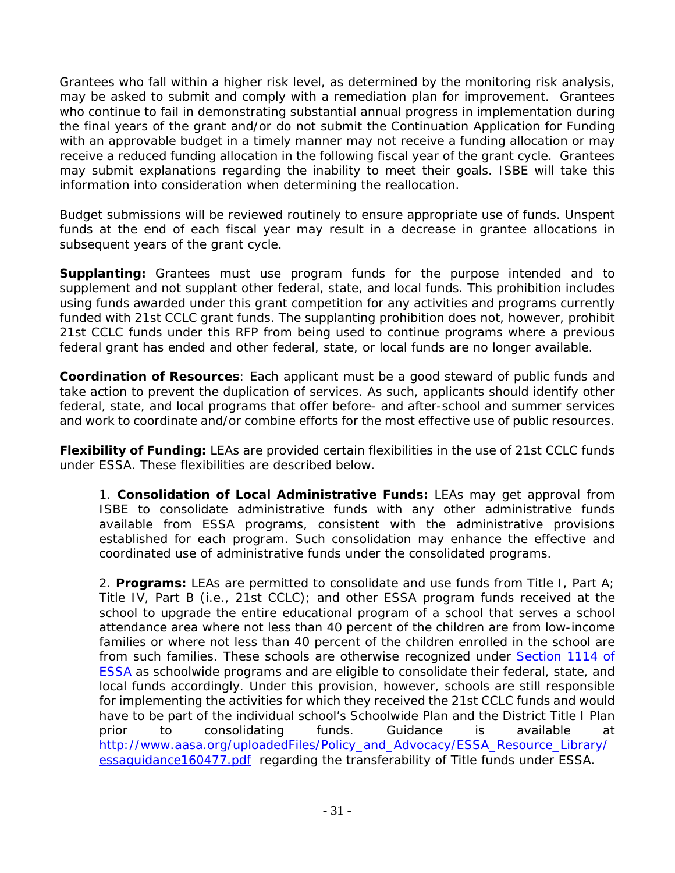Grantees who fall within a higher risk level, as determined by the monitoring risk analysis, may be asked to submit and comply with a remediation plan for improvement. Grantees who continue to fail in demonstrating substantial annual progress in implementation during the final years of the grant and/or do not submit the *Continuation Application for Funding*  with an approvable budget in a timely manner may not receive a funding allocation or may receive a reduced funding allocation in the following fiscal year of the grant cycle. Grantees may submit explanations regarding the inability to meet their goals. ISBE will take this information into consideration when determining the reallocation.

Budget submissions will be reviewed routinely to ensure appropriate use of funds. Unspent funds at the end of each fiscal year may result in a decrease in grantee allocations in subsequent years of the grant cycle.

**Supplanting:** Grantees must use program funds for the purpose intended and to supplement and not supplant other federal, state, and local funds. This prohibition includes using funds awarded under this grant competition for any activities and programs currently funded with 21st CCLC grant funds. The supplanting prohibition does not, however, prohibit 21st CCLC funds under this RFP from being used to continue programs where a previous federal grant has ended and other federal, state, or local funds are no longer available.

**Coordination of Resources**: Each applicant must be a good steward of public funds and take action to prevent the duplication of services. As such, applicants should identify other federal, state, and local programs that offer before- and after-school and summer services and work to coordinate and/or combine efforts for the most effective use of public resources.

**Flexibility of Funding:** LEAs are provided certain flexibilities in the use of 21st CCLC funds under ESSA. These flexibilities are described below.

1. **Consolidation of Local Administrative Funds:** LEAs may get approval from ISBE to consolidate administrative funds with any other administrative funds available from ESSA programs, consistent with the administrative provisions established for each program. Such consolidation may enhance the effective and coordinated use of administrative funds under the consolidated programs.

2. **Programs:** LEAs are permitted to consolidate and use funds from Title I, Part A; Title IV, Part B (i.e., 21st CCLC); and other ESSA program funds received at the school to upgrade the entire educational program of a school that serves a school attendance area where not less than 40 percent of the children are from low-income families or where not less than 40 percent of the children enrolled in the school are from such families. These schools are otherwise recognized under Section 1114 of ESSA as schoolwide programs and are eligible to consolidate their federal, state, and local funds accordingly. Under this provision, however, schools are still responsible for implementing the activities for which they received the 21st CCLC funds and would have to be part of the individual school's Schoolwide Plan and the District Title I Plan prior to consolidating funds. Guidance is available at http://www.aasa.org/uploadedFiles/Policy\_and\_Advocacy/ESSA\_Resource\_Library/ essaguidance160477.pdf regarding the transferability of Title funds under ESSA.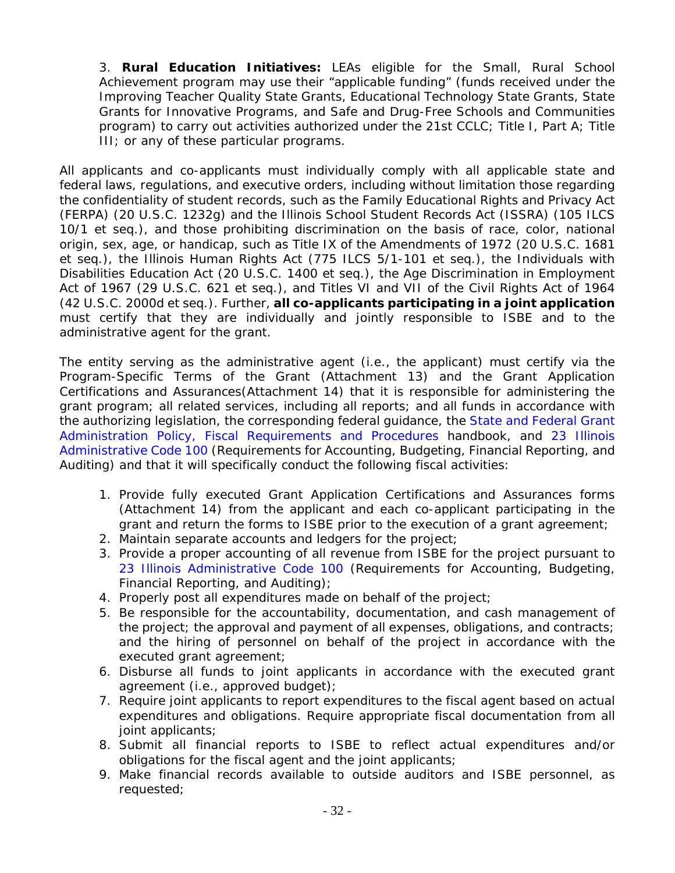3. **Rural Education Initiatives:** LEAs eligible for the Small, Rural School Achievement program may use their "applicable funding" (funds received under the Improving Teacher Quality State Grants, Educational Technology State Grants, State Grants for Innovative Programs, and Safe and Drug-Free Schools and Communities program) to carry out activities authorized under the 21st CCLC; Title I, Part A; Title III; or any of these particular programs.

All applicants and co-applicants must individually comply with all applicable state and federal laws, regulations, and executive orders, including without limitation those regarding the confidentiality of student records, such as the Family Educational Rights and Privacy Act (FERPA) (20 U.S.C. 1232g) and the Illinois School Student Records Act (ISSRA) (105 ILCS 10/1 et seq.), and those prohibiting discrimination on the basis of race, color, national origin, sex, age, or handicap, such as Title IX of the Amendments of 1972 (20 U.S.C. 1681 et seq.), the Illinois Human Rights Act (775 ILCS 5/1-101 et seq.), the Individuals with Disabilities Education Act (20 U.S.C. 1400 et seq.), the Age Discrimination in Employment Act of 1967 (29 U.S.C. 621 et seq.), and Titles VI and VII of the Civil Rights Act of 1964 (42 U.S.C. 2000d et seq.). Further, **all co-applicants participating in a joint application**  must certify that they are individually and jointly responsible to ISBE and to the administrative agent for the grant.

The entity serving as the administrative agent (i.e., the applicant) must certify via the Program-Specific Terms of the Grant (Attachment 13) and the Grant Application Certifications and Assurances(Attachment 14) that it is responsible for administering the grant program; all related services, including all reports; and all funds in accordance with the authorizing legislation, the corresponding federal guidance, the State and Federal Grant Administration Policy, Fiscal Requirements and Procedures handbook, and 23 Illinois Administrative Code 100 (Requirements for Accounting, Budgeting, Financial Reporting, and Auditing) and that it will specifically conduct the following fiscal activities:

- 1. Provide fully executed Grant Application Certifications and Assurances forms (Attachment 14) from the applicant and each co-applicant participating in the grant and return the forms to ISBE prior to the execution of a grant agreement;
- 2. Maintain separate accounts and ledgers for the project;
- 3. Provide a proper accounting of all revenue from ISBE for the project pursuant to 23 Illinois Administrative Code 100 (Requirements for Accounting, Budgeting, Financial Reporting, and Auditing);
- 4. Properly post all expenditures made on behalf of the project;
- 5. Be responsible for the accountability, documentation, and cash management of the project; the approval and payment of all expenses, obligations, and contracts; and the hiring of personnel on behalf of the project in accordance with the executed grant agreement;
- 6. Disburse all funds to joint applicants in accordance with the executed grant agreement (i.e., approved budget);
- 7. Require joint applicants to report expenditures to the fiscal agent based on actual expenditures and obligations. Require appropriate fiscal documentation from all joint applicants;
- 8. Submit all financial reports to ISBE to reflect actual expenditures and/or obligations for the fiscal agent and the joint applicants;
- 9. Make financial records available to outside auditors and ISBE personnel, as requested;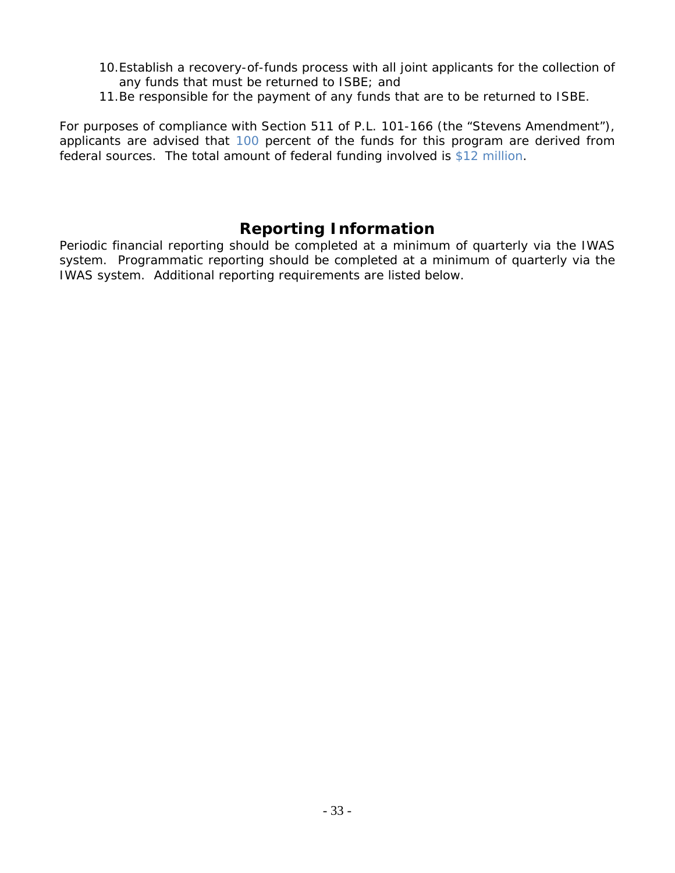- 10.Establish a recovery-of-funds process with all joint applicants for the collection of any funds that must be returned to ISBE; and
- 11.Be responsible for the payment of any funds that are to be returned to ISBE.

*For purposes of compliance with Section 511 of P.L. 101-166 (the "Stevens Amendment"), applicants are advised that 100 percent of the funds for this program are derived from federal sources. The total amount of federal funding involved is \$12 million.* 

# **Reporting Information**

Periodic financial reporting should be completed at a minimum of quarterly via the IWAS system. Programmatic reporting should be completed at a minimum of quarterly via the IWAS system. Additional reporting requirements are listed below.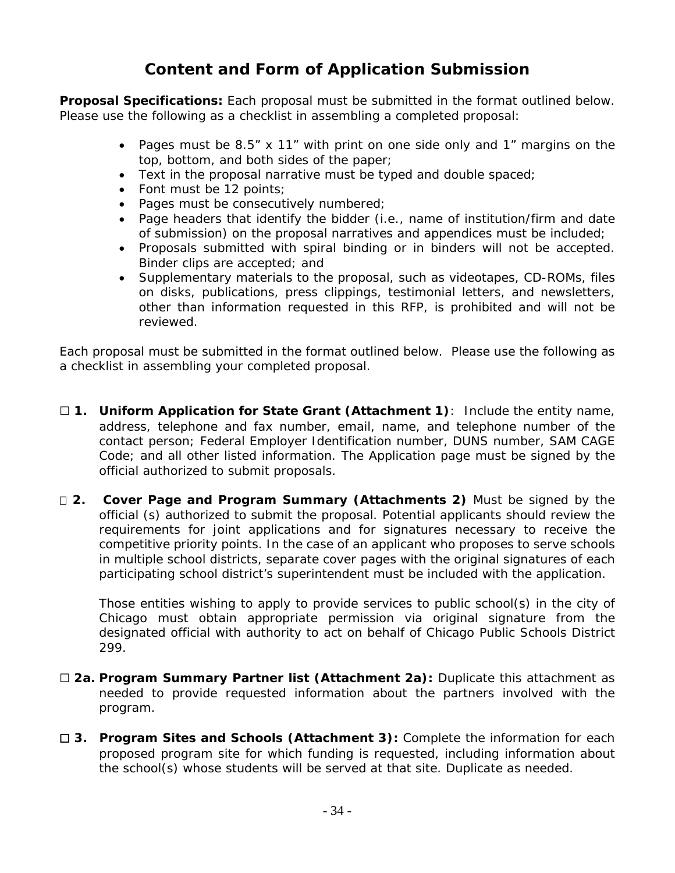# **Content and Form of Application Submission**

**Proposal Specifications:** Each proposal must be submitted in the format outlined below. Please use the following as a checklist in assembling a completed proposal:

- Pages must be 8.5" x 11" with print on one side only and 1" margins on the top, bottom, and both sides of the paper;
- Text in the proposal narrative must be typed and double spaced;
- Font must be 12 points;
- Pages must be consecutively numbered;
- Page headers that identify the bidder (i.e., name of institution/firm and date of submission) on the proposal narratives and appendices must be included;
- Proposals submitted with spiral binding or in binders will not be accepted. Binder clips are accepted; and
- Supplementary materials to the proposal, such as videotapes, CD-ROMs, files on disks, publications, press clippings, testimonial letters, and newsletters, other than information requested in this RFP, is prohibited and will not be reviewed.

Each proposal must be submitted in the format outlined below. Please use the following as a checklist in assembling your completed proposal.

- ☐ **1. Uniform Application for State Grant (Attachment 1)**: Include the entity name, address, telephone and fax number, email, name, and telephone number of the contact person; Federal Employer Identification number, DUNS number, SAM CAGE Code; and all other listed information. The Application page must be signed by the official authorized to submit proposals.
- **2. Cover Page and Program Summary (Attachments 2)** Must be signed by the official (s) authorized to submit the proposal. Potential applicants should review the requirements for joint applications and for signatures necessary to receive the competitive priority points. In the case of an applicant who proposes to serve schools in multiple school districts, separate cover pages with the original signatures of each participating school district's superintendent must be included with the application.

Those entities wishing to apply to provide services to public school(s) in the city of Chicago must obtain appropriate permission via original signature from the designated official with authority to act on behalf of Chicago Public Schools District 299.

- ☐ **2a. Program Summary Partner list (Attachment 2a):** Duplicate this attachment as needed to provide requested information about the partners involved with the program.
- ☐ **3. Program Sites and Schools (Attachment 3):** Complete the information for each proposed program site for which funding is requested, including information about the school(s) whose students will be served at that site. Duplicate as needed.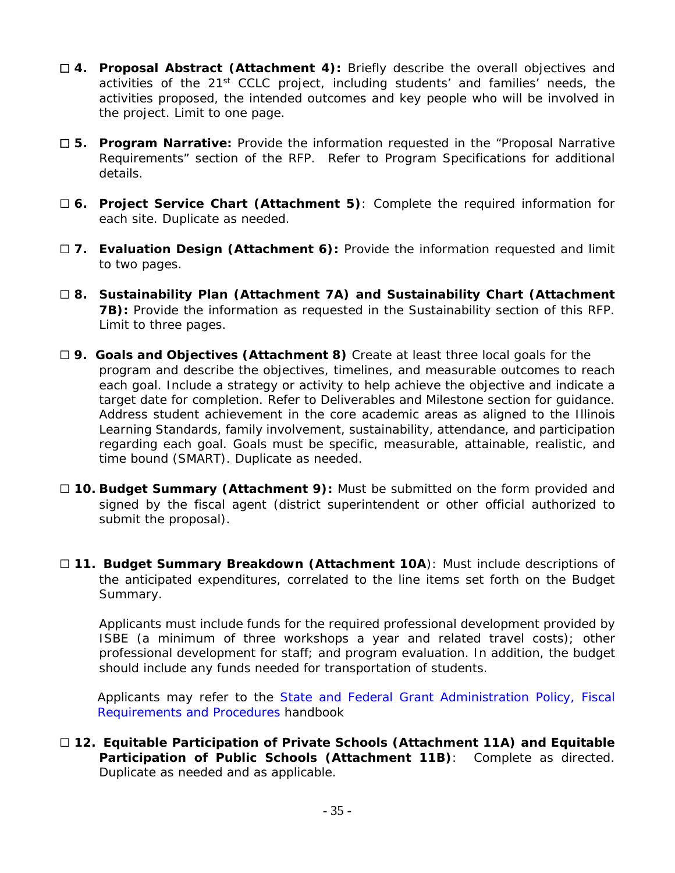- ☐ **4. Proposal Abstract (Attachment 4):** Briefly describe the overall objectives and activities of the 21<sup>st</sup> CCLC project, including students' and families' needs, the activities proposed, the intended outcomes and key people who will be involved in the project. Limit to one page.
- ☐ **5. Program Narrative:** Provide the information requested in the "Proposal Narrative Requirements" section of the RFP. Refer to Program Specifications for additional details.
- ☐ **6. Project Service Chart (Attachment 5)**: Complete the required information for each site. Duplicate as needed.
- □ 7. Evaluation Design (Attachment 6): Provide the information requested and limit to two pages.
- ☐ **8. Sustainability Plan (Attachment 7A) and Sustainability Chart (Attachment 7B):** Provide the information as requested in the Sustainability section of this RFP. Limit to three pages.
- ☐ **9. Goals and Objectives (Attachment 8)** Create at least three local goals for the program and describe the objectives, timelines, and measurable outcomes to reach each goal. Include a strategy or activity to help achieve the objective and indicate a target date for completion. Refer to Deliverables and Milestone section for guidance. Address student achievement in the core academic areas as aligned to the Illinois Learning Standards, family involvement, sustainability, attendance, and participation regarding each goal. Goals must be specific, measurable, attainable, realistic, and time bound (SMART). Duplicate as needed.
- □ 10. Budget Summary (Attachment 9): Must be submitted on the form provided and signed by the fiscal agent (district superintendent or other official authorized to submit the proposal).
- ☐ **11. Budget Summary Breakdown (Attachment 10A**): Must include descriptions of the anticipated expenditures, correlated to the line items set forth on the Budget Summary.

Applicants must include funds for the required professional development provided by ISBE (a minimum of three workshops a year and related travel costs); other professional development for staff; and program evaluation. In addition, the budget should include any funds needed for transportation of students.

Applicants may refer to the State and Federal Grant Administration Policy, Fiscal Requirements and Procedures handbook

☐ **12. Equitable Participation of Private Schools (Attachment 11A) and Equitable Participation of Public Schools (Attachment 11B)**: Complete as directed. Duplicate as needed and as applicable.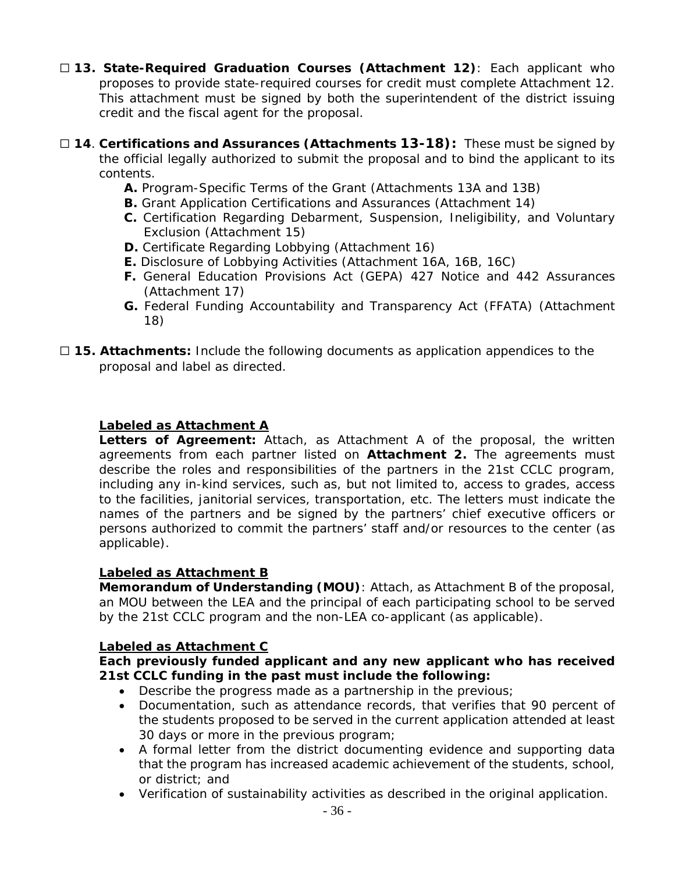- ☐ **13. State-Required Graduation Courses (Attachment 12)**: Each applicant who proposes to provide state-required courses for credit must complete Attachment 12. This attachment must be signed by both the superintendent of the district issuing credit and the fiscal agent for the proposal.
- ☐ **14**. **Certifications and Assurances (Attachments 13-18):** These must be signed by the official legally authorized to submit the proposal and to bind the applicant to its contents.
	- **A.** Program-Specific Terms of the Grant (Attachments 13A and 13B)
	- **B.** Grant Application Certifications and Assurances (Attachment 14)
	- **C.** Certification Regarding Debarment, Suspension, Ineligibility, and Voluntary Exclusion (Attachment 15)
	- **D.** Certificate Regarding Lobbying (Attachment 16)
	- **E.** Disclosure of Lobbying Activities (Attachment 16A, 16B, 16C)
	- **F.** General Education Provisions Act (GEPA) 427 Notice and 442 Assurances (Attachment 17)
	- **G.** Federal Funding Accountability and Transparency Act (FFATA) (Attachment 18)
- □ 15. Attachments: Include the following documents as application appendices to the proposal and label as directed.

#### **Labeled as Attachment A**

**Letters of Agreement:** Attach, as Attachment A of the proposal, the written agreements from each partner listed on **Attachment 2.** The agreements must describe the roles and responsibilities of the partners in the 21st CCLC program, including any in-kind services, such as, but not limited to, access to grades, access to the facilities, janitorial services, transportation, etc. The letters must indicate the names of the partners and be signed by the partners' chief executive officers or persons authorized to commit the partners' staff and/or resources to the center (as applicable).

#### **Labeled as Attachment B**

**Memorandum of Understanding (MOU)**: Attach, as Attachment B of the proposal, an MOU between the LEA and the principal of each participating school to be served by the 21st CCLC program and the non-LEA co-applicant (as applicable).

#### **Labeled as Attachment C**

**Each previously funded applicant and any new applicant who has received 21st CCLC funding in the past must include the following:** 

- Describe the progress made as a partnership in the previous;
- Documentation, such as attendance records, that verifies that 90 percent of the students proposed to be served in the current application attended at least 30 days or more in the previous program;
- A formal letter from the district documenting evidence and supporting data that the program has increased academic achievement of the students, school, or district; and
- Verification of sustainability activities as described in the original application.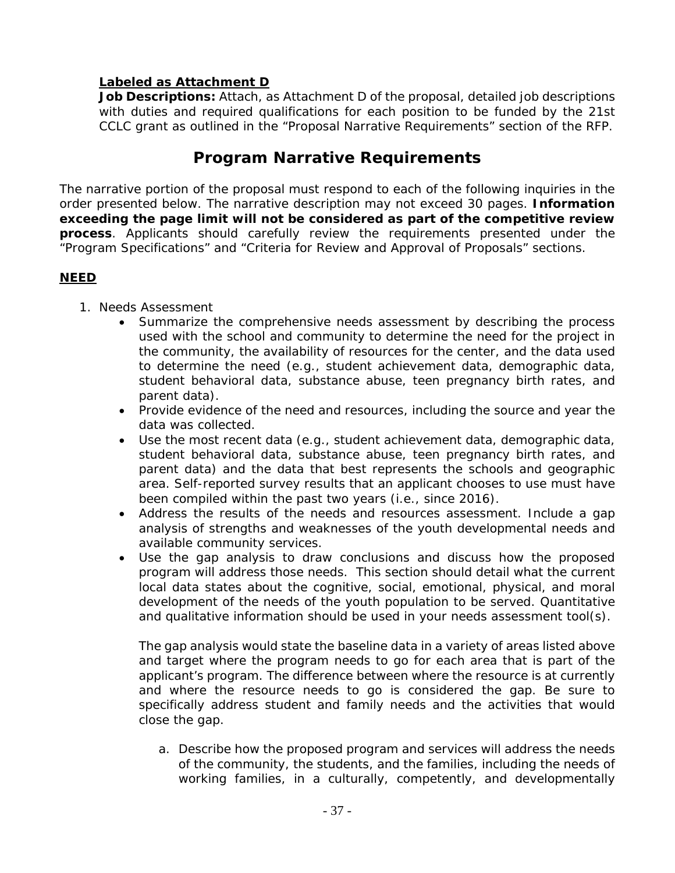#### **Labeled as Attachment D**

Job Descriptions: Attach, as Attachment D of the proposal, detailed job descriptions with duties and required qualifications for each position to be funded by the 21st CCLC grant as outlined in the "Proposal Narrative Requirements" section of the RFP.

# **Program Narrative Requirements**

The narrative portion of the proposal must respond to each of the following inquiries in the order presented below. The narrative description may not exceed 30 pages. **Information exceeding the page limit will not be considered as part of the competitive review process**. Applicants should carefully review the requirements presented under the "Program Specifications" and "Criteria for Review and Approval of Proposals*"* sections.

#### **NEED**

- 1. Needs Assessment
	- Summarize the comprehensive needs assessment by describing the process used with the school and community to determine the need for the project in the community, the availability of resources for the center, and the data used to determine the need (e.g., student achievement data, demographic data, student behavioral data, substance abuse, teen pregnancy birth rates, and parent data).
	- Provide evidence of the need and resources, including the source and year the data was collected.
	- Use the most recent data (e.g., student achievement data, demographic data, student behavioral data, substance abuse, teen pregnancy birth rates, and parent data) and the data that best represents the schools and geographic area. Self-reported survey results that an applicant chooses to use must have been compiled within the past two years (i.e., since 2016).
	- Address the results of the needs and resources assessment. Include a gap analysis of strengths and weaknesses of the youth developmental needs and available community services.
	- Use the gap analysis to draw conclusions and discuss how the proposed program will address those needs. This section should detail what the current local data states about the cognitive, social, emotional, physical, and moral development of the needs of the youth population to be served. Quantitative and qualitative information should be used in your needs assessment tool(s).

The gap analysis would state the baseline data in a variety of areas listed above and target where the program needs to go for each area that is part of the applicant's program. The difference between where the resource is at currently and where the resource needs to go is considered the gap. Be sure to specifically address student and family needs and the activities that would close the gap.

a. Describe how the proposed program and services will address the needs of the community, the students, and the families, including the needs of working families, in a culturally, competently, and developmentally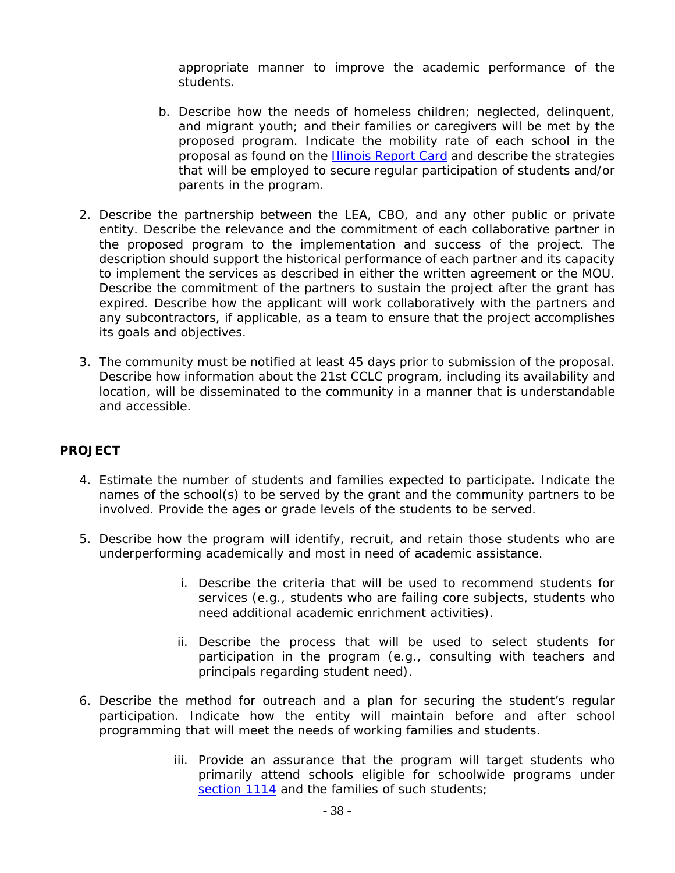appropriate manner to improve the academic performance of the students.

- b. Describe how the needs of homeless children; neglected, delinquent, and migrant youth; and their families or caregivers will be met by the proposed program. Indicate the mobility rate of each school in the proposal as found on the Illinois Report Card and describe the strategies that will be employed to secure regular participation of students and/or parents in the program.
- 2. Describe the partnership between the LEA, CBO, and any other public or private entity. Describe the relevance and the commitment of each collaborative partner in the proposed program to the implementation and success of the project. The description should support the historical performance of each partner and its capacity to implement the services as described in either the written agreement or the MOU. Describe the commitment of the partners to sustain the project after the grant has expired. Describe how the applicant will work collaboratively with the partners and any subcontractors, if applicable, as a team to ensure that the project accomplishes its goals and objectives.
- 3. The community must be notified at least 45 days prior to submission of the proposal. Describe how information about the 21st CCLC program, including its availability and location, will be disseminated to the community in a manner that is understandable and accessible.

#### **PROJECT**

- 4. Estimate the number of students and families expected to participate. Indicate the names of the school(s) to be served by the grant and the community partners to be involved. Provide the ages or grade levels of the students to be served.
- 5. Describe how the program will identify, recruit, and retain those students who are underperforming academically and most in need of academic assistance.
	- i. Describe the criteria that will be used to recommend students for services (e.g., students who are failing core subjects, students who need additional academic enrichment activities).
	- ii. Describe the process that will be used to select students for participation in the program (e.g., consulting with teachers and principals regarding student need).
- 6. Describe the method for outreach and a plan for securing the student's regular participation. Indicate how the entity will maintain before and after school programming that will meet the needs of working families and students.
	- iii. Provide an assurance that the program will target students who primarily attend schools eligible for schoolwide programs under section 1114 and the families of such students;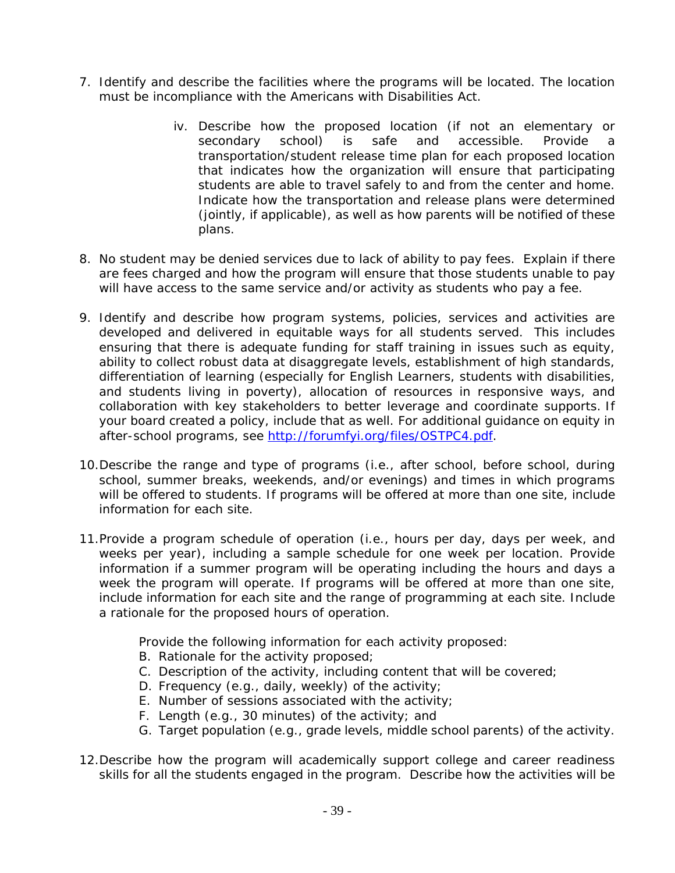- 7. Identify and describe the facilities where the programs will be located. The location must be incompliance with the Americans with Disabilities Act.
	- iv. Describe how the proposed location (if not an elementary or secondary school) is safe and accessible. Provide a transportation/student release time plan for each proposed location that indicates how the organization will ensure that participating students are able to travel safely to and from the center and home. Indicate how the transportation and release plans were determined (jointly, if applicable), as well as how parents will be notified of these plans.
- 8. No student may be denied services due to lack of ability to pay fees. Explain if there are fees charged and how the program will ensure that those students unable to pay will have access to the same service and/or activity as students who pay a fee.
- 9. Identify and describe how program systems, policies, services and activities are developed and delivered in equitable ways for all students served. This includes ensuring that there is adequate funding for staff training in issues such as equity, ability to collect robust data at disaggregate levels, establishment of high standards, differentiation of learning (especially for English Learners, students with disabilities, and students living in poverty), allocation of resources in responsive ways, and collaboration with key stakeholders to better leverage and coordinate supports. If your board created a policy, include that as well. For additional guidance on equity in after-school programs, see http://forumfyi.org/files/OSTPC4.pdf.
- 10.Describe the range and type of programs (i.e., after school, before school, during school, summer breaks, weekends, and/or evenings) and times in which programs will be offered to students. If programs will be offered at more than one site, include information for each site.
- 11.Provide a program schedule of operation (i.e., hours per day, days per week, and weeks per year), including a sample schedule for one week per location. Provide information if a summer program will be operating including the hours and days a week the program will operate. If programs will be offered at more than one site, include information for each site and the range of programming at each site. Include a rationale for the proposed hours of operation.

Provide the following information for each activity proposed:

- B. Rationale for the activity proposed;
- C. Description of the activity, including content that will be covered;
- D. Frequency (e.g., daily, weekly) of the activity;
- E. Number of sessions associated with the activity;
- F. Length (e.g., 30 minutes) of the activity; and
- G. Target population (e.g., grade levels, middle school parents) of the activity.
- 12.Describe how the program will academically support college and career readiness skills for all the students engaged in the program. Describe how the activities will be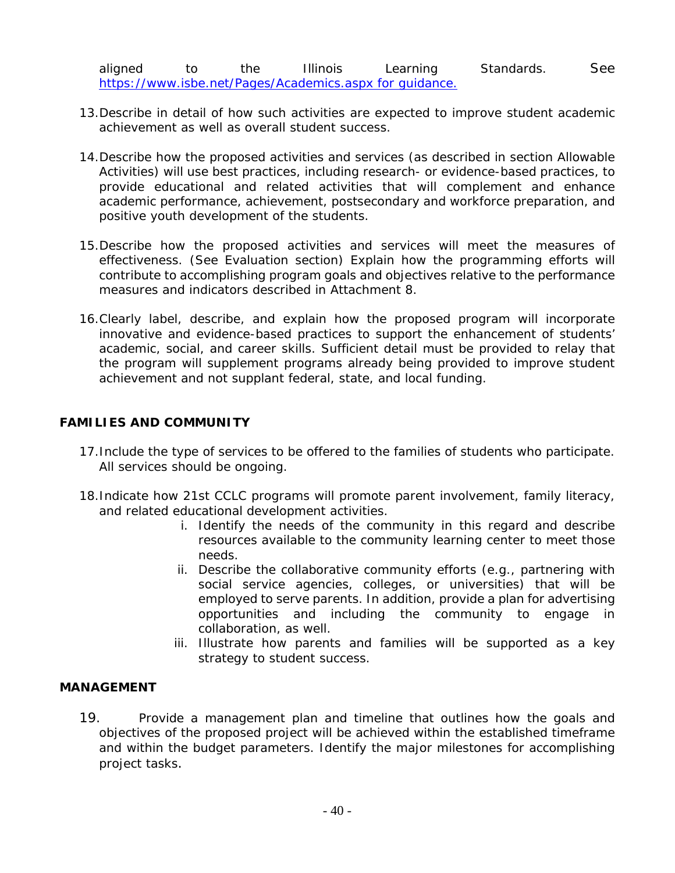- 13.Describe in detail of how such activities are expected to improve student academic achievement as well as overall student success.
- 14.Describe how the proposed activities and services (as described in section Allowable Activities) will use best practices, including research- or evidence-based practices, to provide educational and related activities that will complement and enhance academic performance, achievement, postsecondary and workforce preparation, and positive youth development of the students.
- 15.Describe how the proposed activities and services will meet the measures of effectiveness. (See Evaluation section) Explain how the programming efforts will contribute to accomplishing program goals and objectives relative to the performance measures and indicators described in Attachment 8.
- 16.Clearly label, describe, and explain how the proposed program will incorporate innovative and evidence-based practices to support the enhancement of students' academic, social, and career skills. Sufficient detail must be provided to relay that the program will supplement programs already being provided to improve student achievement and not supplant federal, state, and local funding.

#### **FAMILIES AND COMMUNITY**

- 17.Include the type of services to be offered to the families of students who participate. All services should be ongoing.
- 18.Indicate how 21st CCLC programs will promote parent involvement, family literacy, and related educational development activities.
	- i. Identify the needs of the community in this regard and describe resources available to the community learning center to meet those needs.
	- ii. Describe the collaborative community efforts (e.g., partnering with social service agencies, colleges, or universities) that will be employed to serve parents. In addition, provide a plan for advertising opportunities and including the community to engage in collaboration, as well.
	- iii. Illustrate how parents and families will be supported as a key strategy to student success.

#### **MANAGEMENT**

19. Provide a management plan and timeline that outlines how the goals and objectives of the proposed project will be achieved within the established timeframe and within the budget parameters. Identify the major milestones for accomplishing project tasks.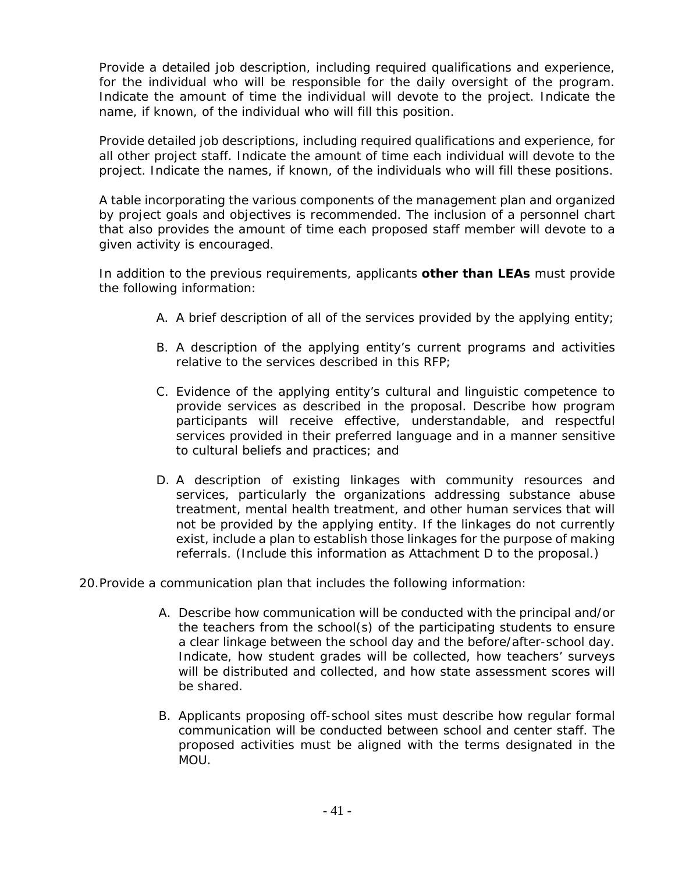Provide a detailed job description, including required qualifications and experience, for the individual who will be responsible for the daily oversight of the program. Indicate the amount of time the individual will devote to the project. Indicate the name, if known, of the individual who will fill this position.

Provide detailed job descriptions, including required qualifications and experience, for all other project staff. Indicate the amount of time each individual will devote to the project. Indicate the names, if known, of the individuals who will fill these positions.

A table incorporating the various components of the management plan and organized by project goals and objectives is recommended. The inclusion of a personnel chart that also provides the amount of time each proposed staff member will devote to a given activity is encouraged.

In addition to the previous requirements, applicants **other than LEAs** must provide the following information:

- A. A brief description of all of the services provided by the applying entity;
- B. A description of the applying entity's current programs and activities relative to the services described in this RFP;
- C. Evidence of the applying entity's cultural and linguistic competence to provide services as described in the proposal. Describe how program participants will receive effective, understandable, and respectful services provided in their preferred language and in a manner sensitive to cultural beliefs and practices; and
- D. A description of existing linkages with community resources and services, particularly the organizations addressing substance abuse treatment, mental health treatment, and other human services that will not be provided by the applying entity. If the linkages do not currently exist, include a plan to establish those linkages for the purpose of making referrals. (Include this information as Attachment D to the proposal.)

20.Provide a communication plan that includes the following information:

- A. Describe how communication will be conducted with the principal and/or the teachers from the school(s) of the participating students to ensure a clear linkage between the school day and the before/after-school day. Indicate, how student grades will be collected, how teachers' surveys will be distributed and collected, and how state assessment scores will be shared.
- B. Applicants proposing off-school sites must describe how regular formal communication will be conducted between school and center staff. The proposed activities must be aligned with the terms designated in the MOU.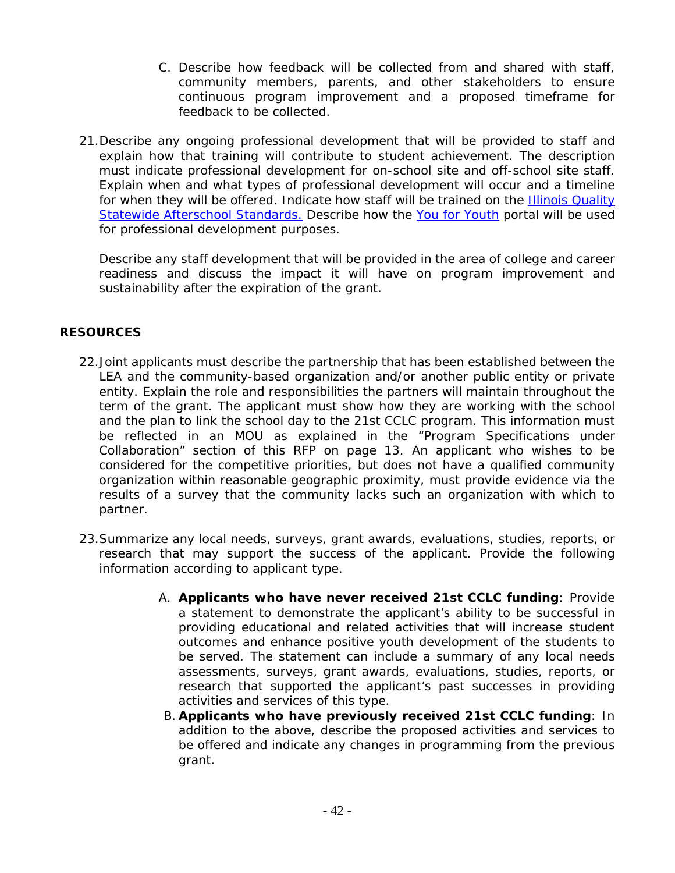- C. Describe how feedback will be collected from and shared with staff, community members, parents, and other stakeholders to ensure continuous program improvement and a proposed timeframe for feedback to be collected.
- 21.Describe any ongoing professional development that will be provided to staff and explain how that training will contribute to student achievement. The description must indicate professional development for on-school site and off-school site staff. Explain when and what types of professional development will occur and a timeline for when they will be offered. Indicate how staff will be trained on the Illinois Quality Statewide Afterschool Standards. Describe how the *You for Youth* portal will be used for professional development purposes.

Describe any staff development that will be provided in the area of college and career readiness and discuss the impact it will have on program improvement and sustainability after the expiration of the grant.

#### **RESOURCES**

- 22.Joint applicants must describe the partnership that has been established between the LEA and the community-based organization and/or another public entity or private entity. Explain the role and responsibilities the partners will maintain throughout the term of the grant. The applicant must show how they are working with the school and the plan to link the school day to the 21st CCLC program. This information must be reflected in an MOU as explained in the "Program Specifications under Collaboration" section of this RFP on page 13. An applicant who wishes to be considered for the competitive priorities, but does not have a qualified community organization within reasonable geographic proximity, must provide evidence via the results of a survey that the community lacks such an organization with which to partner.
- 23.Summarize any local needs, surveys, grant awards, evaluations, studies, reports, or research that may support the success of the applicant. Provide the following information according to applicant type.
	- A. *Applicants who have never received 21st CCLC funding:* Provide a statement to demonstrate the applicant's ability to be successful in providing educational and related activities that will increase student outcomes and enhance positive youth development of the students to be served. The statement can include a summary of any local needs assessments, surveys, grant awards, evaluations, studies, reports, or research that supported the applicant's past successes in providing activities and services of this type.
	- B. *Applicants who have previously received 21st CCLC funding:* In addition to the above, describe the proposed activities and services to be offered and indicate any changes in programming from the previous grant.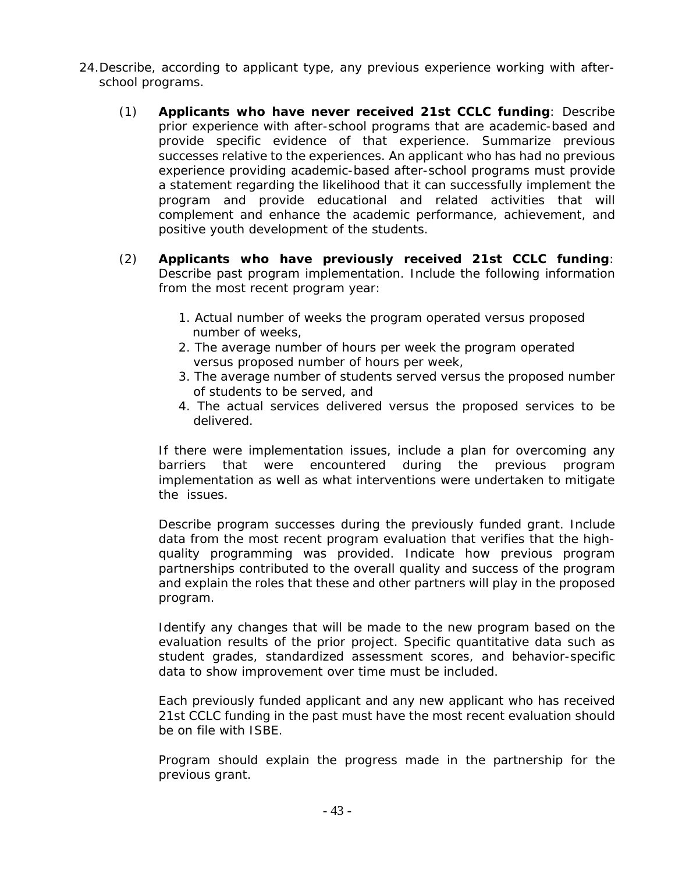- 24.Describe, according to applicant type, any previous experience working with afterschool programs.
	- (1) *Applicants who have never received 21st CCLC funding:* Describe prior experience with after-school programs that are academic-based and provide specific evidence of that experience. Summarize previous successes relative to the experiences. An applicant who has had no previous experience providing academic-based after-school programs must provide a statement regarding the likelihood that it can successfully implement the program and provide educational and related activities that will complement and enhance the academic performance, achievement, and positive youth development of the students.
	- (2) *Applicants who have previously received 21st CCLC funding:*  Describe past program implementation. Include the following information from the most recent program year:
		- 1. Actual number of weeks the program operated versus proposed number of weeks,
		- 2. The average number of hours per week the program operated versus proposed number of hours per week,
		- 3. The average number of students served versus the proposed number of students to be served, and
		- 4. The actual services delivered versus the proposed services to be delivered.

If there were implementation issues, include a plan for overcoming any barriers that were encountered during the previous program implementation as well as what interventions were undertaken to mitigate the issues.

Describe program successes during the previously funded grant. Include data from the most recent program evaluation that verifies that the highquality programming was provided. Indicate how previous program partnerships contributed to the overall quality and success of the program and explain the roles that these and other partners will play in the proposed program.

Identify any changes that will be made to the new program based on the evaluation results of the prior project. Specific quantitative data such as student grades, standardized assessment scores, and behavior-specific data to show improvement over time must be included.

Each previously funded applicant and any new applicant who has received 21st CCLC funding in the past must have the most recent evaluation should be on file with ISBE.

Program should explain the progress made in the partnership for the previous grant.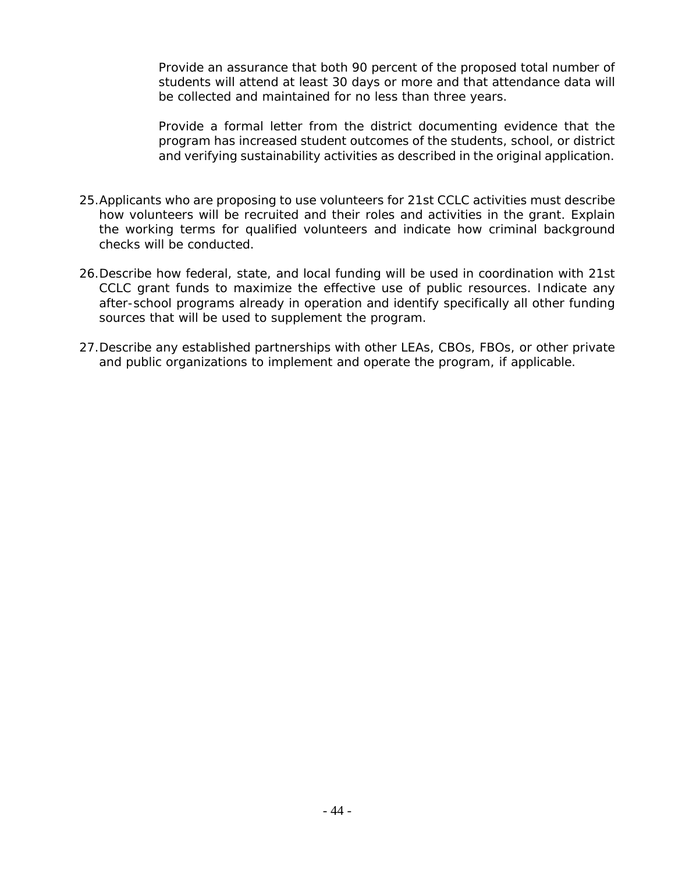Provide an assurance that both 90 percent of the proposed total number of students will attend at least 30 days or more and that attendance data will be collected and maintained for no less than three years.

Provide a formal letter from the district documenting evidence that the program has increased student outcomes of the students, school, or district and verifying sustainability activities as described in the original application.

- 25.Applicants who are proposing to use volunteers for 21st CCLC activities must describe how volunteers will be recruited and their roles and activities in the grant. Explain the working terms for qualified volunteers and indicate how criminal background checks will be conducted.
- 26.Describe how federal, state, and local funding will be used in coordination with 21st CCLC grant funds to maximize the effective use of public resources. Indicate any after-school programs already in operation and identify specifically all other funding sources that will be used to supplement the program.
- 27.Describe any established partnerships with other LEAs, CBOs, FBOs, or other private and public organizations to implement and operate the program, if applicable.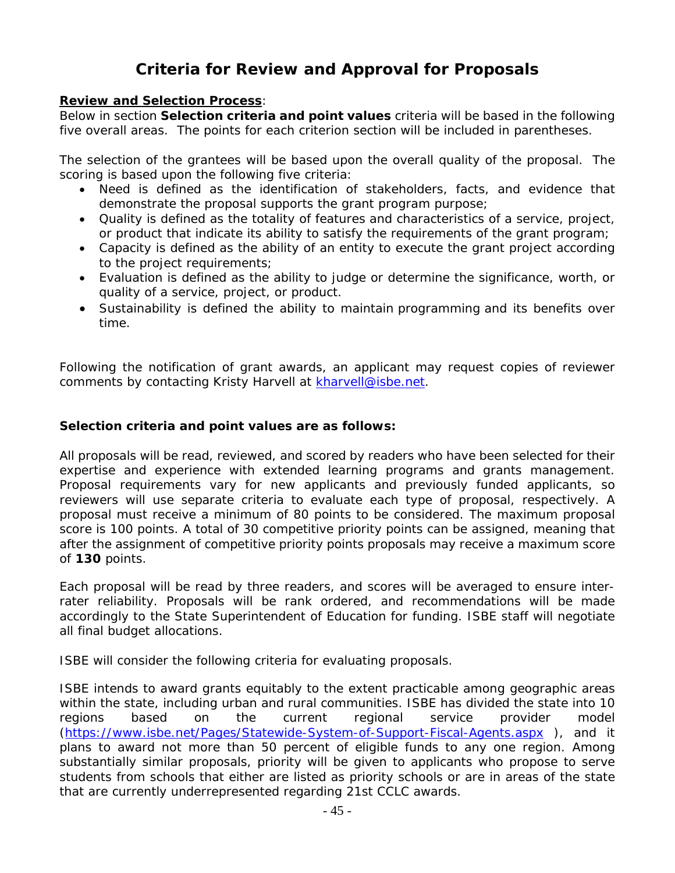# **Criteria for Review and Approval for Proposals**

#### **Review and Selection Process**:

Below in section **Selection criteria and point values** criteria will be based in the following five overall areas. The points for each criterion section will be included in parentheses.

The selection of the grantees will be based upon the overall quality of the proposal. The scoring is based upon the following five criteria:

- Need is defined as the identification of stakeholders, facts, and evidence that demonstrate the proposal supports the grant program purpose;
- Quality is defined as the totality of features and characteristics of a service, project, or product that indicate its ability to satisfy the requirements of the grant program;
- Capacity is defined as the ability of an entity to execute the grant project according to the project requirements;
- Evaluation is defined as the ability to judge or determine the significance, worth, or quality of a service, project, or product.
- Sustainability is defined the ability to maintain programming and its benefits over time.

Following the notification of grant awards, an applicant may request copies of reviewer comments by contacting Kristy Harvell at kharvell@isbe.net.

#### **Selection criteria and point values are as follows:**

All proposals will be read, reviewed, and scored by readers who have been selected for their expertise and experience with extended learning programs and grants management. Proposal requirements vary for new applicants and previously funded applicants, so reviewers will use separate criteria to evaluate each type of proposal, respectively. A proposal must receive a minimum of 80 points to be considered. The maximum proposal score is 100 points. A total of 30 competitive priority points can be assigned, meaning that after the assignment of competitive priority points proposals may receive a maximum score of **130** points.

Each proposal will be read by three readers, and scores will be averaged to ensure interrater reliability. Proposals will be rank ordered, and recommendations will be made accordingly to the State Superintendent of Education for funding. ISBE staff will negotiate all final budget allocations.

ISBE will consider the following criteria for evaluating proposals.

ISBE intends to award grants equitably to the extent practicable among geographic areas within the state, including urban and rural communities. ISBE has divided the state into 10 regions based on the current regional service provider model (https://www.isbe.net/Pages/Statewide-System-of-Support-Fiscal-Agents.aspx ), and it plans to award not more than 50 percent of eligible funds to any one region. Among substantially similar proposals, priority will be given to applicants who propose to serve students from schools that either are listed as priority schools or are in areas of the state that are currently underrepresented regarding 21st CCLC awards.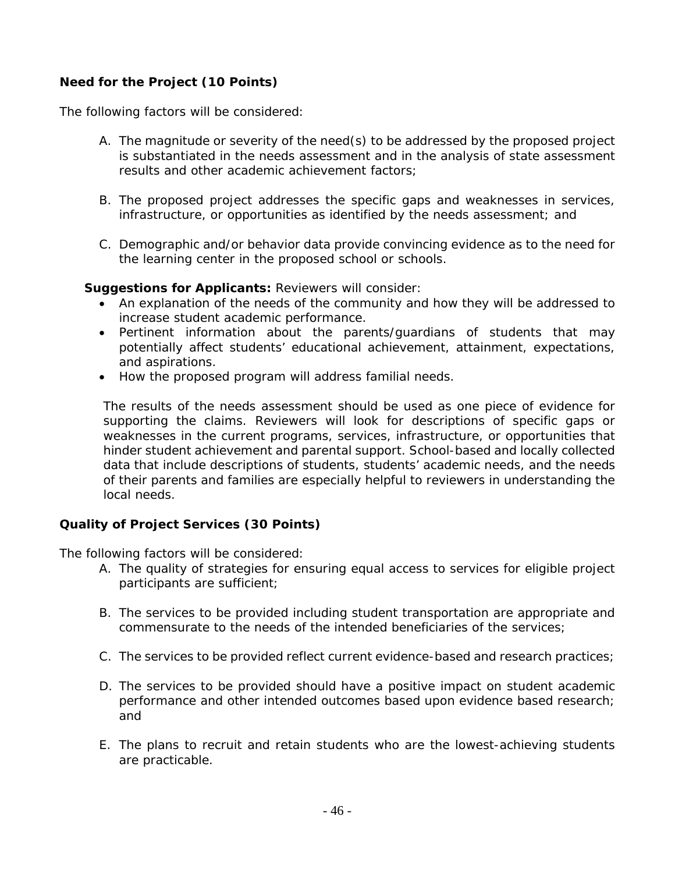## **Need for the Project (10 Points)**

The following factors will be considered:

- A. The magnitude or severity of the need(s) to be addressed by the proposed project is substantiated in the needs assessment and in the analysis of state assessment results and other academic achievement factors;
- B. The proposed project addresses the specific gaps and weaknesses in services, infrastructure, or opportunities as identified by the needs assessment; and
- C. Demographic and/or behavior data provide convincing evidence as to the need for the learning center in the proposed school or schools.

#### *Suggestions for Applicants:* Reviewers will consider:

- An explanation of the needs of the community and how they will be addressed to increase student academic performance.
- Pertinent information about the parents/guardians of students that may potentially affect students' educational achievement, attainment, expectations, and aspirations.
- How the proposed program will address familial needs.

The results of the needs assessment should be used as one piece of evidence for supporting the claims. Reviewers will look for descriptions of specific gaps or weaknesses in the current programs, services, infrastructure, or opportunities that hinder student achievement and parental support. School-based and locally collected data that include descriptions of students, students' academic needs, and the needs of their parents and families are especially helpful to reviewers in understanding the local needs.

#### **Quality of Project Services (30 Points)**

The following factors will be considered:

- A. The quality of strategies for ensuring equal access to services for eligible project participants are sufficient;
- B. The services to be provided including student transportation are appropriate and commensurate to the needs of the intended beneficiaries of the services;
- C. The services to be provided reflect current evidence-based and research practices;
- D. The services to be provided should have a positive impact on student academic performance and other intended outcomes based upon evidence based research; and
- E. The plans to recruit and retain students who are the lowest-achieving students are practicable.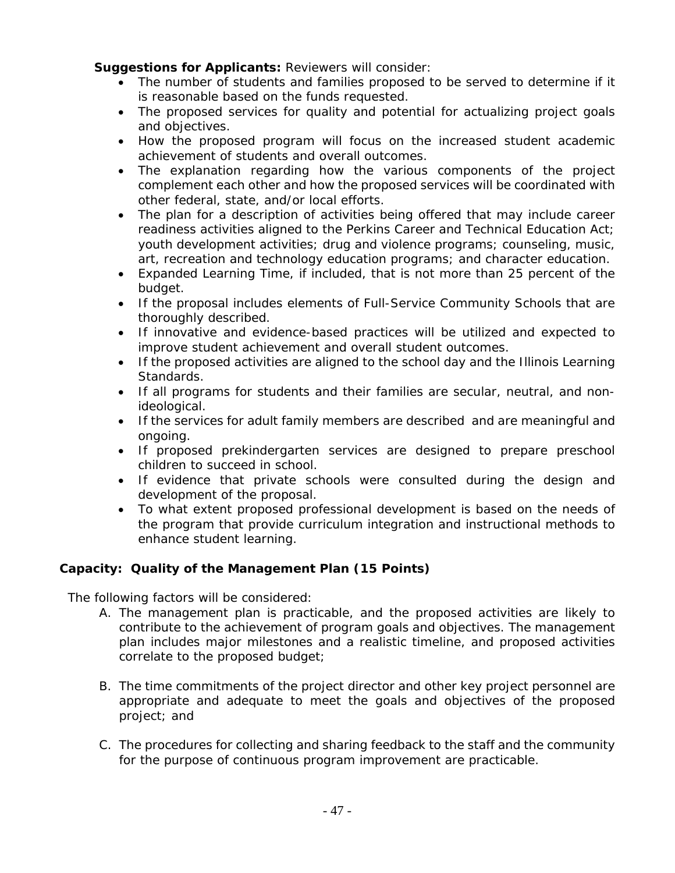*Suggestions for Applicants:* Reviewers will consider:

- The number of students and families proposed to be served to determine if it is reasonable based on the funds requested.
- The proposed services for quality and potential for actualizing project goals and objectives.
- How the proposed program will focus on the increased student academic achievement of students and overall outcomes.
- The explanation regarding how the various components of the project complement each other and how the proposed services will be coordinated with other federal, state, and/or local efforts.
- The plan for a description of activities being offered that may include career readiness activities aligned to the Perkins Career and Technical Education Act; youth development activities; drug and violence programs; counseling, music, art, recreation and technology education programs; and character education.
- Expanded Learning Time, if included, that is not more than 25 percent of the budget.
- If the proposal includes elements of Full-Service Community Schools that are thoroughly described.
- If innovative and evidence-based practices will be utilized and expected to improve student achievement and overall student outcomes.
- If the proposed activities are aligned to the school day and the Illinois Learning Standards.
- If all programs for students and their families are secular, neutral, and nonideological.
- If the services for adult family members are described and are meaningful and ongoing.
- If proposed prekindergarten services are designed to prepare preschool children to succeed in school.
- If evidence that private schools were consulted during the design and development of the proposal.
- To what extent proposed professional development is based on the needs of the program that provide curriculum integration and instructional methods to enhance student learning.

## **Capacity: Quality of the Management Plan (15 Points)**

The following factors will be considered:

- A. The management plan is practicable, and the proposed activities are likely to contribute to the achievement of program goals and objectives. The management plan includes major milestones and a realistic timeline, and proposed activities correlate to the proposed budget;
- B. The time commitments of the project director and other key project personnel are appropriate and adequate to meet the goals and objectives of the proposed project; and
- C. The procedures for collecting and sharing feedback to the staff and the community for the purpose of continuous program improvement are practicable.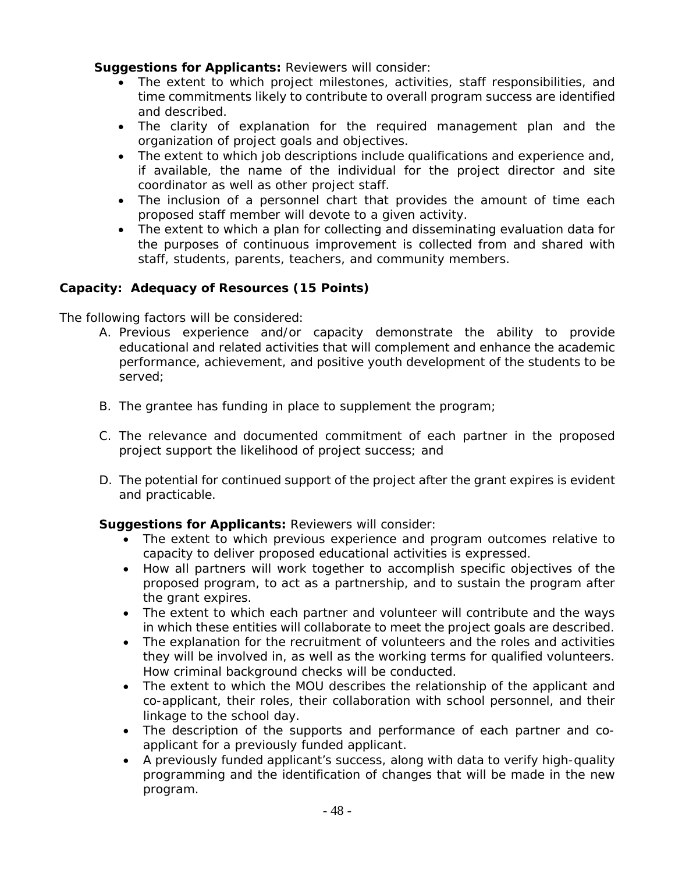*Suggestions for Applicants:* Reviewers will consider:

- The extent to which project milestones, activities, staff responsibilities, and time commitments likely to contribute to overall program success are identified and described.
- The clarity of explanation for the required management plan and the organization of project goals and objectives.
- The extent to which job descriptions include qualifications and experience and, if available, the name of the individual for the project director and site coordinator as well as other project staff.
- The inclusion of a personnel chart that provides the amount of time each proposed staff member will devote to a given activity.
- The extent to which a plan for collecting and disseminating evaluation data for the purposes of continuous improvement is collected from and shared with staff, students, parents, teachers, and community members.

## **Capacity: Adequacy of Resources (15 Points)**

The following factors will be considered:

- A. Previous experience and/or capacity demonstrate the ability to provide educational and related activities that will complement and enhance the academic performance, achievement, and positive youth development of the students to be served;
- B. The grantee has funding in place to supplement the program;
- C. The relevance and documented commitment of each partner in the proposed project support the likelihood of project success; and
- D. The potential for continued support of the project after the grant expires is evident and practicable.

#### *Suggestions for Applicants:* Reviewers will consider:

- The extent to which previous experience and program outcomes relative to capacity to deliver proposed educational activities is expressed.
- How all partners will work together to accomplish specific objectives of the proposed program, to act as a partnership, and to sustain the program after the grant expires.
- The extent to which each partner and volunteer will contribute and the ways in which these entities will collaborate to meet the project goals are described.
- The explanation for the recruitment of volunteers and the roles and activities they will be involved in, as well as the working terms for qualified volunteers. How criminal background checks will be conducted.
- The extent to which the MOU describes the relationship of the applicant and co-applicant, their roles, their collaboration with school personnel, and their linkage to the school day.
- The description of the supports and performance of each partner and coapplicant for a previously funded applicant.
- A previously funded applicant's success, along with data to verify high-quality programming and the identification of changes that will be made in the new program.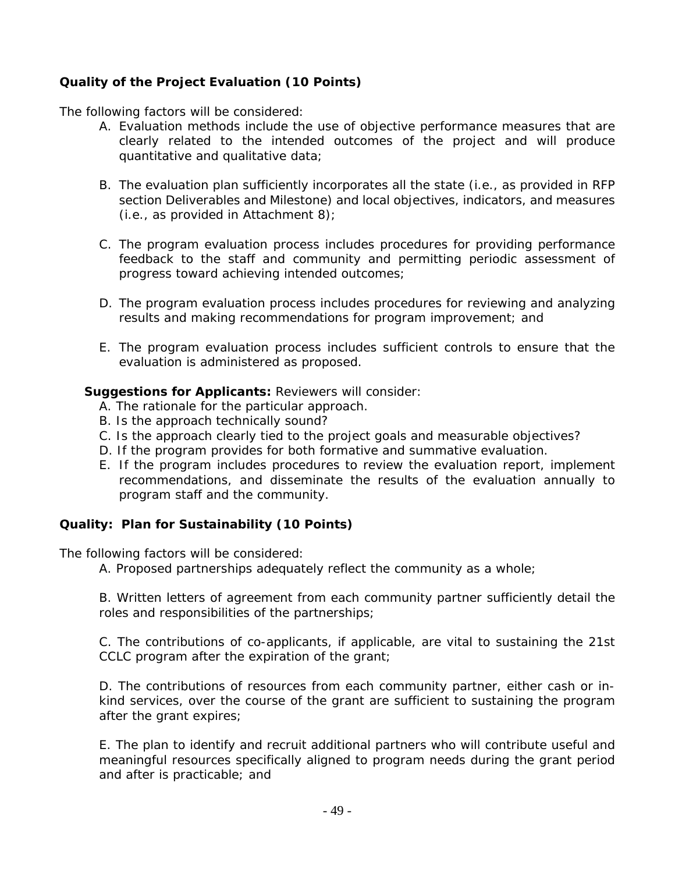## **Quality of the Project Evaluation (10 Points)**

The following factors will be considered:

- A. Evaluation methods include the use of objective performance measures that are clearly related to the intended outcomes of the project and will produce quantitative and qualitative data;
- B. The evaluation plan sufficiently incorporates all the state (i.e., as provided in RFP section Deliverables and Milestone) and local objectives, indicators, and measures (i.e., as provided in Attachment 8);
- C. The program evaluation process includes procedures for providing performance feedback to the staff and community and permitting periodic assessment of progress toward achieving intended outcomes;
- D. The program evaluation process includes procedures for reviewing and analyzing results and making recommendations for program improvement; and
- E. The program evaluation process includes sufficient controls to ensure that the evaluation is administered as proposed.

#### *Suggestions for Applicants:* Reviewers will consider:

- A. The rationale for the particular approach.
- B. Is the approach technically sound?
- C. Is the approach clearly tied to the project goals and measurable objectives?
- D. If the program provides for both formative and summative evaluation.
- E. If the program includes procedures to review the evaluation report, implement recommendations, and disseminate the results of the evaluation annually to program staff and the community.

#### **Quality: Plan for Sustainability (10 Points)**

The following factors will be considered:

A. Proposed partnerships adequately reflect the community as a whole;

B. Written letters of agreement from each community partner sufficiently detail the roles and responsibilities of the partnerships;

C. The contributions of co-applicants, if applicable, are vital to sustaining the 21st CCLC program after the expiration of the grant;

D. The contributions of resources from each community partner, either cash or inkind services, over the course of the grant are sufficient to sustaining the program after the grant expires;

E. The plan to identify and recruit additional partners who will contribute useful and meaningful resources specifically aligned to program needs during the grant period and after is practicable; and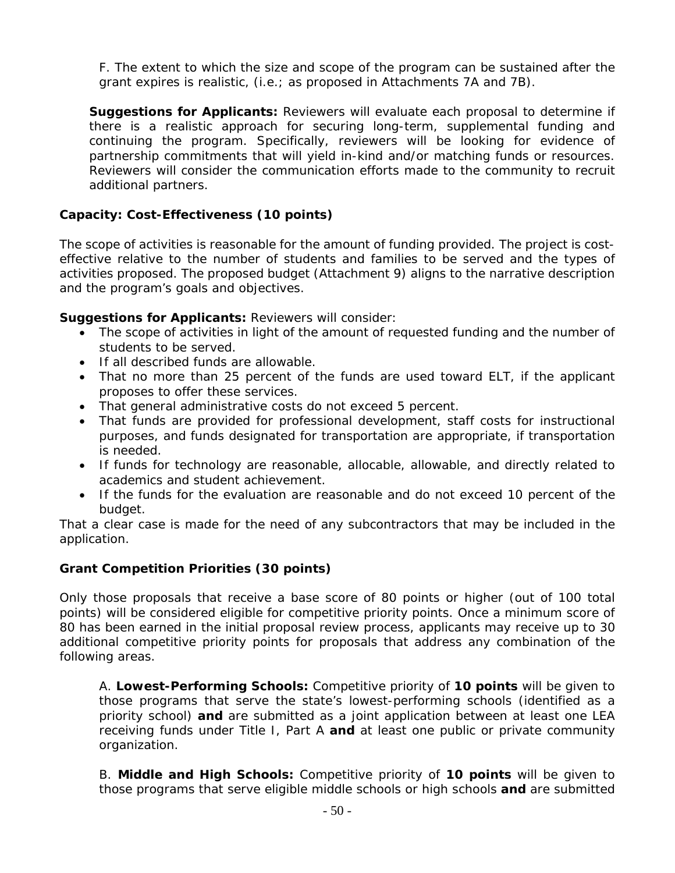F. The extent to which the size and scope of the program can be sustained after the grant expires is realistic, (i.e.; as proposed in Attachments 7A and 7B).

*Suggestions for Applicants:* Reviewers will evaluate each proposal to determine if there is a realistic approach for securing long-term, supplemental funding and continuing the program. Specifically, reviewers will be looking for evidence of partnership commitments that will yield in-kind and/or matching funds or resources. Reviewers will consider the communication efforts made to the community to recruit additional partners.

## **Capacity: Cost-Effectiveness (10 points)**

The scope of activities is reasonable for the amount of funding provided. The project is costeffective relative to the number of students and families to be served and the types of activities proposed. The proposed budget (Attachment 9) aligns to the narrative description and the program's goals and objectives.

*Suggestions for Applicants:* Reviewers will consider:

- The scope of activities in light of the amount of requested funding and the number of students to be served.
- If all described funds are allowable.
- That no more than 25 percent of the funds are used toward ELT, if the applicant proposes to offer these services.
- That general administrative costs do not exceed 5 percent.
- That funds are provided for professional development, staff costs for instructional purposes, and funds designated for transportation are appropriate, if transportation is needed.
- If funds for technology are reasonable, allocable, allowable, and directly related to academics and student achievement.
- If the funds for the evaluation are reasonable and do not exceed 10 percent of the budget.

That a clear case is made for the need of any subcontractors that may be included in the application.

#### **Grant Competition Priorities (30 points)**

Only those proposals that receive a base score of 80 points or higher (out of 100 total points) will be considered eligible for competitive priority points. Once a minimum score of 80 has been earned in the initial proposal review process, applicants may receive up to 30 additional competitive priority points for proposals that address any combination of the following areas.

A. *Lowest-Performing Schools:* Competitive priority of **10 points** will be given to those programs that serve the state's lowest-performing schools (identified as a priority school) **and** are submitted as a joint application between at least one LEA receiving funds under Title I, Part A **and** at least one public or private community organization.

B. *Middle and High Schools:* Competitive priority of **10 points** will be given to those programs that serve eligible middle schools or high schools **and** are submitted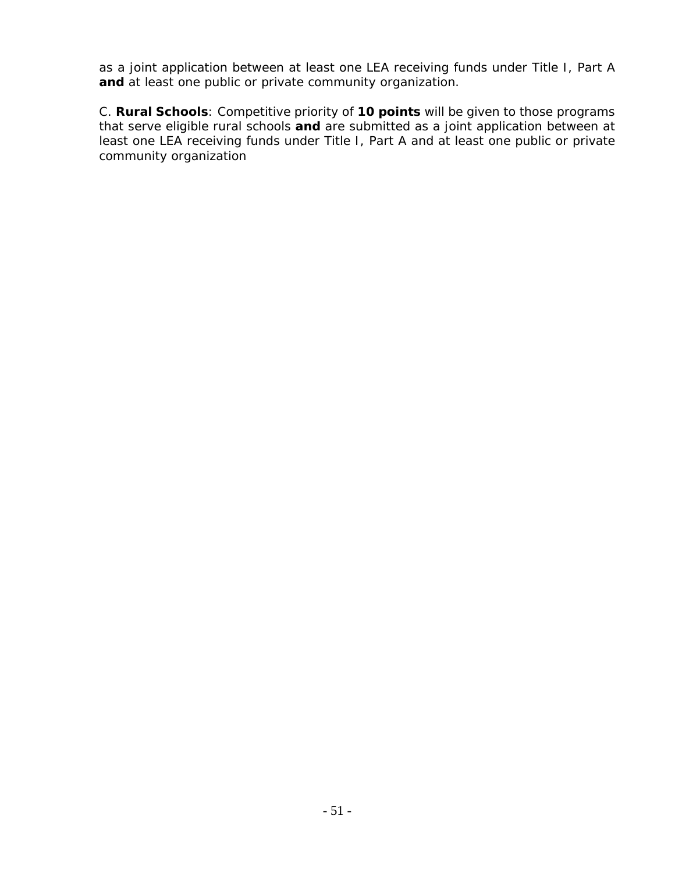as a joint application between at least one LEA receiving funds under Title I, Part A **and** at least one public or private community organization.

C. *Rural Schools:* Competitive priority of **10 points** will be given to those programs that serve eligible rural schools **and** are submitted as a joint application between at least one LEA receiving funds under Title I, Part A and at least one public or private community organization